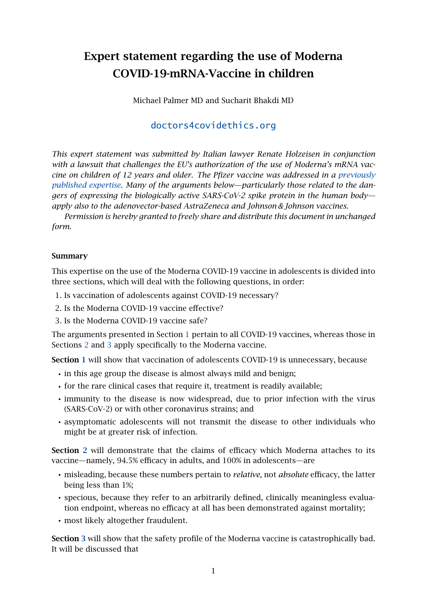# Expert statement regarding the use of Moderna COVID-19-mRNA-Vaccine in children

Michael Palmer MD and Sucharit Bhakdi MD

## [doctors4covidethics.org](https://doctors4covidethics.org)

*This expert statement was submitted by Italian lawyer Renate Holzeisen in conjunction with a lawsuit that challenges the EU's authorization of the use of Moderna's mRNA vaccine on children of 12 years and older. The Pfizer vaccine was addressed in a [previously](https://doctors4covidethics.org/expert-evidence-regarding-comirnaty-covid-19-mrna-vaccine-for-children/) [published expertise.](https://doctors4covidethics.org/expert-evidence-regarding-comirnaty-covid-19-mrna-vaccine-for-children/) Many of the arguments below—particularly those related to the dangers of expressing the biologically active SARS-CoV-2 spike protein in the human body apply also to the adenovector-based AstraZeneca and Johnson & Johnson vaccines.*

*Permission is hereby granted to freely share and distribute this document in unchanged form.*

#### Summary

This expertise on the use of the Moderna COVID-19 vaccine in adolescents is divided into three sections, which will deal with the following questions, in order:

- 1. Is vaccination of adolescents against COVID-19 necessary?
- 2. Is the Moderna COVID-19 vaccine effective?
- 3. Is the Moderna COVID-19 vaccine safe?

The arguments presented in Section [1](#page-1-0) pertain to all COVID-19 vaccines, whereas those in Sections [2](#page-7-0) and [3](#page-13-0) apply specifically to the Moderna vaccine.

Section [1](#page-1-0) will show that vaccination of adolescents COVID-19 is unnecessary, because

- in this age group the disease is almost always mild and benign;
- for the rare clinical cases that require it, treatment is readily available;
- immunity to the disease is now widespread, due to prior infection with the virus (SARS-CoV-2) or with other coronavirus strains; and
- asymptomatic adolescents will not transmit the disease to other individuals who might be at greater risk of infection.

Section [2](#page-7-0) will demonstrate that the claims of efficacy which Moderna attaches to its vaccine—namely, 94.5% efficacy in adults, and 100% in adolescents—are

- misleading, because these numbers pertain to *relative*, not *absolute* efficacy, the latter being less than 1%;
- specious, because they refer to an arbitrarily defined, clinically meaningless evaluation endpoint, whereas no efficacy at all has been demonstrated against mortality;
- most likely altogether fraudulent.

Section [3](#page-13-0) will show that the safety profile of the Moderna vaccine is catastrophically bad. It will be discussed that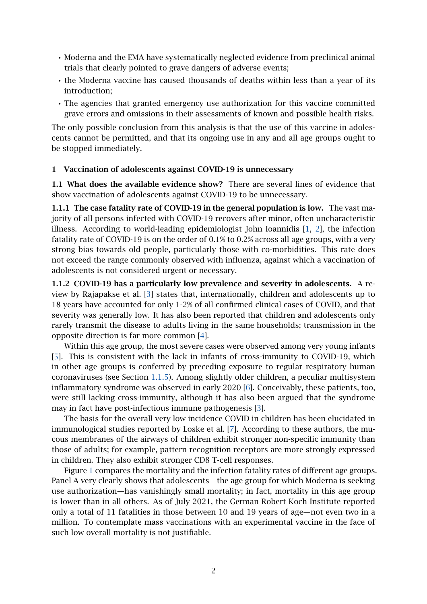- Moderna and the EMA have systematically neglected evidence from preclinical animal trials that clearly pointed to grave dangers of adverse events;
- the Moderna vaccine has caused thousands of deaths within less than a year of its introduction;
- The agencies that granted emergency use authorization for this vaccine committed grave errors and omissions in their assessments of known and possible health risks.

The only possible conclusion from this analysis is that the use of this vaccine in adolescents cannot be permitted, and that its ongoing use in any and all age groups ought to be stopped immediately.

#### <span id="page-1-0"></span>1 Vaccination of adolescents against COVID-19 is unnecessary

1.1 What does the available evidence show? There are several lines of evidence that show vaccination of adolescents against COVID-19 to be unnecessary.

<span id="page-1-2"></span>1.1.1 The case fatality rate of COVID-19 in the general population is low. The vast majority of all persons infected with COVID-19 recovers after minor, often uncharacteristic illness. According to world-leading epidemiologist John Ioannidis [\[1,](#page-26-0) [2\]](#page-26-1), the infection fatality rate of COVID-19 is on the order of 0.1% to 0.2% across all age groups, with a very strong bias towards old people, particularly those with co-morbidities. This rate does not exceed the range commonly observed with influenza, against which a vaccination of adolescents is not considered urgent or necessary.

<span id="page-1-1"></span>1.1.2 COVID-19 has a particularly low prevalence and severity in adolescents. A review by Rajapakse et al. [\[3\]](#page-26-2) states that, internationally, children and adolescents up to 18 years have accounted for only 1-2% of all confirmed clinical cases of COVID, and that severity was generally low. It has also been reported that children and adolescents only rarely transmit the disease to adults living in the same households; transmission in the opposite direction is far more common [\[4\]](#page-27-0).

Within this age group, the most severe cases were observed among very young infants [\[5\]](#page-27-1). This is consistent with the lack in infants of cross-immunity to COVID-19, which in other age groups is conferred by preceding exposure to regular respiratory human coronaviruses (see Section [1.1.5\)](#page-3-0). Among slightly older children, a peculiar multisystem inflammatory syndrome was observed in early 2020 [\[6\]](#page-27-2). Conceivably, these patients, too, were still lacking cross-immunity, although it has also been argued that the syndrome may in fact have post-infectious immune pathogenesis [\[3\]](#page-26-2).

The basis for the overall very low incidence COVID in children has been elucidated in immunological studies reported by Loske et al. [\[7\]](#page-27-3). According to these authors, the mucous membranes of the airways of children exhibit stronger non-specific immunity than those of adults; for example, pattern recognition receptors are more strongly expressed in children. They also exhibit stronger CD8 T-cell responses.

Figure [1](#page-2-0) compares the mortality and the infection fatality rates of different age groups. Panel A very clearly shows that adolescents—the age group for which Moderna is seeking use authorization—has vanishingly small mortality; in fact, mortality in this age group is lower than in all others. As of July 2021, the German Robert Koch Institute reported only a total of 11 fatalities in those between 10 and 19 years of age—not even two in a million. To contemplate mass vaccinations with an experimental vaccine in the face of such low overall mortality is not justifiable.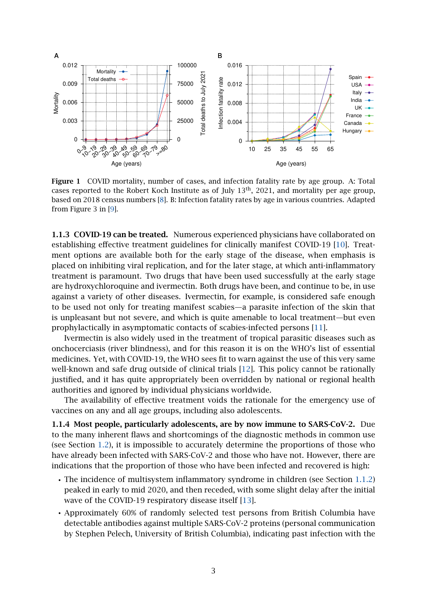<span id="page-2-0"></span>

Figure 1 COVID mortality, number of cases, and infection fatality rate by age group. A: Total cases reported to the Robert Koch Institute as of July 13th, 2021, and mortality per age group, based on 2018 census numbers [\[8\]](#page-27-4). B: Infection fatality rates by age in various countries. Adapted from Figure 3 in [\[9\]](#page-27-5).

1.1.3 COVID-19 can be treated. Numerous experienced physicians have collaborated on establishing effective treatment guidelines for clinically manifest COVID-19 [\[10\]](#page-27-6). Treatment options are available both for the early stage of the disease, when emphasis is placed on inhibiting viral replication, and for the later stage, at which anti-inflammatory treatment is paramount. Two drugs that have been used successfully at the early stage are hydroxychloroquine and ivermectin. Both drugs have been, and continue to be, in use against a variety of other diseases. Ivermectin, for example, is considered safe enough to be used not only for treating manifest scabies—a parasite infection of the skin that is unpleasant but not severe, and which is quite amenable to local treatment—but even prophylactically in asymptomatic contacts of scabies-infected persons [\[11\]](#page-27-7).

Ivermectin is also widely used in the treatment of tropical parasitic diseases such as onchocerciasis (river blindness), and for this reason it is on the WHO's list of essential medicines. Yet, with COVID-19, the WHO sees fit to warn against the use of this very same well-known and safe drug outside of clinical trials [\[12\]](#page-27-8). This policy cannot be rationally justified, and it has quite appropriately been overridden by national or regional health authorities and ignored by individual physicians worldwide.

The availability of effective treatment voids the rationale for the emergency use of vaccines on any and all age groups, including also adolescents.

1.1.4 Most people, particularly adolescents, are by now immune to SARS-CoV-2. Due to the many inherent flaws and shortcomings of the diagnostic methods in common use (see Section [1.2\)](#page-4-0), it is impossible to accurately determine the proportions of those who have already been infected with SARS-CoV-2 and those who have not. However, there are indications that the proportion of those who have been infected and recovered is high:

- The incidence of multisystem inflammatory syndrome in children (see Section [1.1.2\)](#page-1-1) peaked in early to mid 2020, and then receded, with some slight delay after the initial wave of the COVID-19 respiratory disease itself [\[13\]](#page-27-9).
- Approximately 60% of randomly selected test persons from British Columbia have detectable antibodies against multiple SARS-CoV-2 proteins (personal communication by Stephen Pelech, University of British Columbia), indicating past infection with the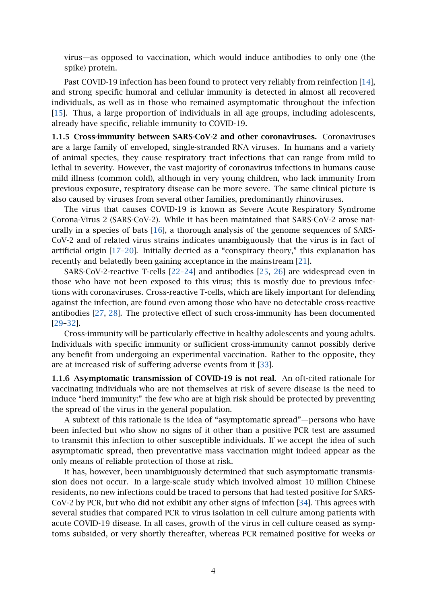virus—as opposed to vaccination, which would induce antibodies to only one (the spike) protein.

Past COVID-19 infection has been found to protect very reliably from reinfection [\[14\]](#page-27-10), and strong specific humoral and cellular immunity is detected in almost all recovered individuals, as well as in those who remained asymptomatic throughout the infection [\[15\]](#page-27-11). Thus, a large proportion of individuals in all age groups, including adolescents, already have specific, reliable immunity to COVID-19.

<span id="page-3-0"></span>1.1.5 Cross-immunity between SARS-CoV-2 and other coronaviruses. Coronaviruses are a large family of enveloped, single-stranded RNA viruses. In humans and a variety of animal species, they cause respiratory tract infections that can range from mild to lethal in severity. However, the vast majority of coronavirus infections in humans cause mild illness (common cold), although in very young children, who lack immunity from previous exposure, respiratory disease can be more severe. The same clinical picture is also caused by viruses from several other families, predominantly rhinoviruses.

The virus that causes COVID-19 is known as Severe Acute Respiratory Syndrome Corona-Virus 2 (SARS-CoV-2). While it has been maintained that SARS-CoV-2 arose naturally in a species of bats [\[16\]](#page-27-12), a thorough analysis of the genome sequences of SARS-CoV-2 and of related virus strains indicates unambiguously that the virus is in fact of artificial origin [\[17–](#page-27-13)[20\]](#page-28-0). Initially decried as a "conspiracy theory," this explanation has recently and belatedly been gaining acceptance in the mainstream [\[21\]](#page-28-1).

SARS-CoV-2-reactive T-cells [\[22–](#page-28-2)[24\]](#page-28-3) and antibodies [\[25,](#page-28-4) [26\]](#page-28-5) are widespread even in those who have not been exposed to this virus; this is mostly due to previous infections with coronaviruses. Cross-reactive T-cells, which are likely important for defending against the infection, are found even among those who have no detectable cross-reactive antibodies [\[27,](#page-28-6) [28\]](#page-28-7). The protective effect of such cross-immunity has been documented [\[29](#page-28-8)[–32\]](#page-28-9).

Cross-immunity will be particularly effective in healthy adolescents and young adults. Individuals with specific immunity or sufficient cross-immunity cannot possibly derive any benefit from undergoing an experimental vaccination. Rather to the opposite, they are at increased risk of suffering adverse events from it [\[33\]](#page-28-10).

1.1.6 Asymptomatic transmission of COVID-19 is not real. An oft-cited rationale for vaccinating individuals who are not themselves at risk of severe disease is the need to induce "herd immunity:" the few who are at high risk should be protected by preventing the spread of the virus in the general population.

A subtext of this rationale is the idea of "asymptomatic spread"—persons who have been infected but who show no signs of it other than a positive PCR test are assumed to transmit this infection to other susceptible individuals. If we accept the idea of such asymptomatic spread, then preventative mass vaccination might indeed appear as the only means of reliable protection of those at risk.

It has, however, been unambiguously determined that such asymptomatic transmission does not occur. In a large-scale study which involved almost 10 million Chinese residents, no new infections could be traced to persons that had tested positive for SARS-CoV-2 by PCR, but who did not exhibit any other signs of infection [\[34\]](#page-28-11). This agrees with several studies that compared PCR to virus isolation in cell culture among patients with acute COVID-19 disease. In all cases, growth of the virus in cell culture ceased as symptoms subsided, or very shortly thereafter, whereas PCR remained positive for weeks or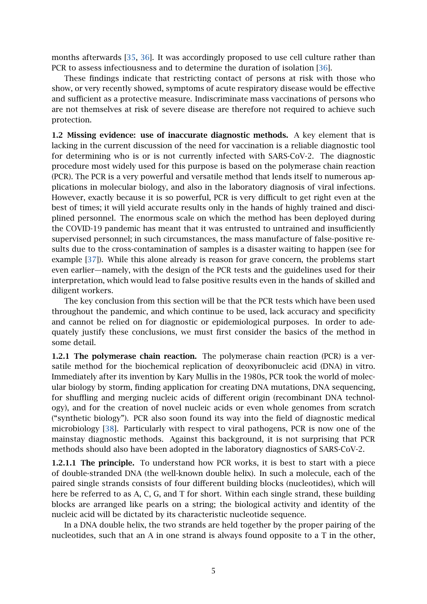months afterwards [\[35,](#page-28-12) [36\]](#page-28-13). It was accordingly proposed to use cell culture rather than PCR to assess infectiousness and to determine the duration of isolation [\[36\]](#page-28-13).

These findings indicate that restricting contact of persons at risk with those who show, or very recently showed, symptoms of acute respiratory disease would be effective and sufficient as a protective measure. Indiscriminate mass vaccinations of persons who are not themselves at risk of severe disease are therefore not required to achieve such protection.

<span id="page-4-0"></span>1.2 Missing evidence: use of inaccurate diagnostic methods. A key element that is lacking in the current discussion of the need for vaccination is a reliable diagnostic tool for determining who is or is not currently infected with SARS-CoV-2. The diagnostic procedure most widely used for this purpose is based on the polymerase chain reaction (PCR). The PCR is a very powerful and versatile method that lends itself to numerous applications in molecular biology, and also in the laboratory diagnosis of viral infections. However, exactly because it is so powerful, PCR is very difficult to get right even at the best of times; it will yield accurate results only in the hands of highly trained and disciplined personnel. The enormous scale on which the method has been deployed during the COVID-19 pandemic has meant that it was entrusted to untrained and insufficiently supervised personnel; in such circumstances, the mass manufacture of false-positive results due to the cross-contamination of samples is a disaster waiting to happen (see for example [\[37\]](#page-28-14)). While this alone already is reason for grave concern, the problems start even earlier—namely, with the design of the PCR tests and the guidelines used for their interpretation, which would lead to false positive results even in the hands of skilled and diligent workers.

The key conclusion from this section will be that the PCR tests which have been used throughout the pandemic, and which continue to be used, lack accuracy and specificity and cannot be relied on for diagnostic or epidemiological purposes. In order to adequately justify these conclusions, we must first consider the basics of the method in some detail.

1.2.1 The polymerase chain reaction. The polymerase chain reaction (PCR) is a versatile method for the biochemical replication of deoxyribonucleic acid (DNA) in vitro. Immediately after its invention by Kary Mullis in the 1980s, PCR took the world of molecular biology by storm, finding application for creating DNA mutations, DNA sequencing, for shuffling and merging nucleic acids of different origin (recombinant DNA technology), and for the creation of novel nucleic acids or even whole genomes from scratch ("synthetic biology"). PCR also soon found its way into the field of diagnostic medical microbiology [\[38\]](#page-28-15). Particularly with respect to viral pathogens, PCR is now one of the mainstay diagnostic methods. Against this background, it is not surprising that PCR methods should also have been adopted in the laboratory diagnostics of SARS-CoV-2.

1.2.1.1 The principle. To understand how PCR works, it is best to start with a piece of double-stranded DNA (the well-known double helix). In such a molecule, each of the paired single strands consists of four different building blocks (nucleotides), which will here be referred to as A, C, G, and T for short. Within each single strand, these building blocks are arranged like pearls on a string; the biological activity and identity of the nucleic acid will be dictated by its characteristic nucleotide sequence.

In a DNA double helix, the two strands are held together by the proper pairing of the nucleotides, such that an A in one strand is always found opposite to a T in the other,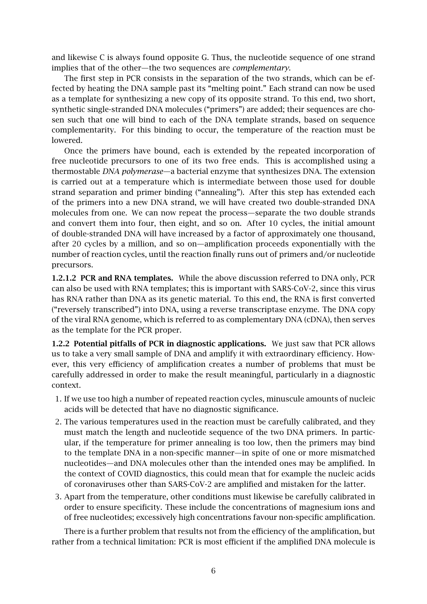and likewise C is always found opposite G. Thus, the nucleotide sequence of one strand implies that of the other—the two sequences are *complementary*.

The first step in PCR consists in the separation of the two strands, which can be effected by heating the DNA sample past its "melting point." Each strand can now be used as a template for synthesizing a new copy of its opposite strand. To this end, two short, synthetic single-stranded DNA molecules ("primers") are added; their sequences are chosen such that one will bind to each of the DNA template strands, based on sequence complementarity. For this binding to occur, the temperature of the reaction must be lowered.

Once the primers have bound, each is extended by the repeated incorporation of free nucleotide precursors to one of its two free ends. This is accomplished using a thermostable *DNA polymerase*—a bacterial enzyme that synthesizes DNA. The extension is carried out at a temperature which is intermediate between those used for double strand separation and primer binding ("annealing"). After this step has extended each of the primers into a new DNA strand, we will have created two double-stranded DNA molecules from one. We can now repeat the process—separate the two double strands and convert them into four, then eight, and so on. After 10 cycles, the initial amount of double-stranded DNA will have increased by a factor of approximately one thousand, after 20 cycles by a million, and so on—amplification proceeds exponentially with the number of reaction cycles, until the reaction finally runs out of primers and/or nucleotide precursors.

1.2.1.2 PCR and RNA templates. While the above discussion referred to DNA only, PCR can also be used with RNA templates; this is important with SARS-CoV-2, since this virus has RNA rather than DNA as its genetic material. To this end, the RNA is first converted ("reversely transcribed") into DNA, using a reverse transcriptase enzyme. The DNA copy of the viral RNA genome, which is referred to as complementary DNA (cDNA), then serves as the template for the PCR proper.

1.2.2 Potential pitfalls of PCR in diagnostic applications. We just saw that PCR allows us to take a very small sample of DNA and amplify it with extraordinary efficiency. However, this very efficiency of amplification creates a number of problems that must be carefully addressed in order to make the result meaningful, particularly in a diagnostic context.

- 1. If we use too high a number of repeated reaction cycles, minuscule amounts of nucleic acids will be detected that have no diagnostic significance.
- 2. The various temperatures used in the reaction must be carefully calibrated, and they must match the length and nucleotide sequence of the two DNA primers. In particular, if the temperature for primer annealing is too low, then the primers may bind to the template DNA in a non-specific manner—in spite of one or more mismatched nucleotides—and DNA molecules other than the intended ones may be amplified. In the context of COVID diagnostics, this could mean that for example the nucleic acids of coronaviruses other than SARS-CoV-2 are amplified and mistaken for the latter.
- 3. Apart from the temperature, other conditions must likewise be carefully calibrated in order to ensure specificity. These include the concentrations of magnesium ions and of free nucleotides; excessively high concentrations favour non-specific amplification.

There is a further problem that results not from the efficiency of the amplification, but rather from a technical limitation: PCR is most efficient if the amplified DNA molecule is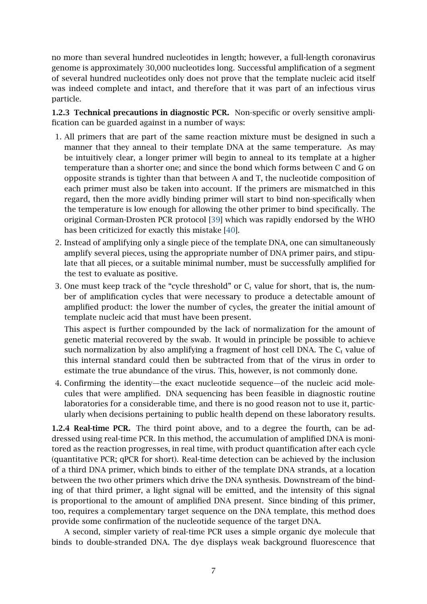no more than several hundred nucleotides in length; however, a full-length coronavirus genome is approximately 30,000 nucleotides long. Successful amplification of a segment of several hundred nucleotides only does not prove that the template nucleic acid itself was indeed complete and intact, and therefore that it was part of an infectious virus particle.

1.2.3 Technical precautions in diagnostic PCR. Non-specific or overly sensitive amplification can be guarded against in a number of ways:

- 1. All primers that are part of the same reaction mixture must be designed in such a manner that they anneal to their template DNA at the same temperature. As may be intuitively clear, a longer primer will begin to anneal to its template at a higher temperature than a shorter one; and since the bond which forms between C and G on opposite strands is tighter than that between A and T, the nucleotide composition of each primer must also be taken into account. If the primers are mismatched in this regard, then the more avidly binding primer will start to bind non-specifically when the temperature is low enough for allowing the other primer to bind specifically. The original Corman-Drosten PCR protocol [\[39\]](#page-29-0) which was rapidly endorsed by the WHO has been criticized for exactly this mistake [\[40\]](#page-29-1).
- 2. Instead of amplifying only a single piece of the template DNA, one can simultaneously amplify several pieces, using the appropriate number of DNA primer pairs, and stipulate that all pieces, or a suitable minimal number, must be successfully amplified for the test to evaluate as positive.
- 3. One must keep track of the "cycle threshold" or  $C_t$  value for short, that is, the number of amplification cycles that were necessary to produce a detectable amount of amplified product: the lower the number of cycles, the greater the initial amount of template nucleic acid that must have been present.

This aspect is further compounded by the lack of normalization for the amount of genetic material recovered by the swab. It would in principle be possible to achieve such normalization by also amplifying a fragment of host cell DNA. The  $C_t$  value of this internal standard could then be subtracted from that of the virus in order to estimate the true abundance of the virus. This, however, is not commonly done.

4. Confirming the identity—the exact nucleotide sequence—of the nucleic acid molecules that were amplified. DNA sequencing has been feasible in diagnostic routine laboratories for a considerable time, and there is no good reason not to use it, particularly when decisions pertaining to public health depend on these laboratory results.

1.2.4 Real-time PCR. The third point above, and to a degree the fourth, can be addressed using real-time PCR. In this method, the accumulation of amplified DNA is monitored as the reaction progresses, in real time, with product quantification after each cycle (quantitative PCR; qPCR for short). Real-time detection can be achieved by the inclusion of a third DNA primer, which binds to either of the template DNA strands, at a location between the two other primers which drive the DNA synthesis. Downstream of the binding of that third primer, a light signal will be emitted, and the intensity of this signal is proportional to the amount of amplified DNA present. Since binding of this primer, too, requires a complementary target sequence on the DNA template, this method does provide some confirmation of the nucleotide sequence of the target DNA.

A second, simpler variety of real-time PCR uses a simple organic dye molecule that binds to double-stranded DNA. The dye displays weak background fluorescence that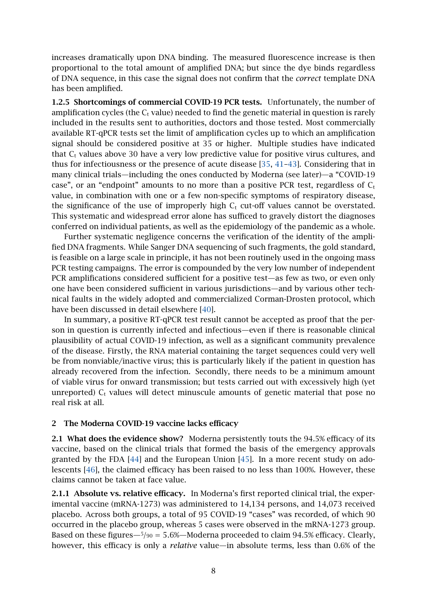increases dramatically upon DNA binding. The measured fluorescence increase is then proportional to the total amount of amplified DNA; but since the dye binds regardless of DNA sequence, in this case the signal does not confirm that the *correct* template DNA has been amplified.

<span id="page-7-1"></span>1.2.5 Shortcomings of commercial COVID-19 PCR tests. Unfortunately, the number of amplification cycles (the  $C_t$  value) needed to find the genetic material in question is rarely included in the results sent to authorities, doctors and those tested. Most commercially available RT-qPCR tests set the limit of amplification cycles up to which an amplification signal should be considered positive at 35 or higher. Multiple studies have indicated that  $C_t$  values above 30 have a very low predictive value for positive virus cultures, and thus for infectiousness or the presence of acute disease [\[35,](#page-28-12) [41](#page-29-2)[–43\]](#page-29-3). Considering that in many clinical trials—including the ones conducted by Moderna (see later)—a "COVID-19 case", or an "endpoint" amounts to no more than a positive PCR test, regardless of  $C_t$ value, in combination with one or a few non-specific symptoms of respiratory disease, the significance of the use of improperly high  $C_t$  cut-off values cannot be overstated. This systematic and widespread error alone has sufficed to gravely distort the diagnoses conferred on individual patients, as well as the epidemiology of the pandemic as a whole.

Further systematic negligence concerns the verification of the identity of the amplified DNA fragments. While Sanger DNA sequencing of such fragments, the gold standard, is feasible on a large scale in principle, it has not been routinely used in the ongoing mass PCR testing campaigns. The error is compounded by the very low number of independent PCR amplifications considered sufficient for a positive test—as few as two, or even only one have been considered sufficient in various jurisdictions—and by various other technical faults in the widely adopted and commercialized Corman-Drosten protocol, which have been discussed in detail elsewhere [\[40\]](#page-29-1).

In summary, a positive RT-qPCR test result cannot be accepted as proof that the person in question is currently infected and infectious—even if there is reasonable clinical plausibility of actual COVID-19 infection, as well as a significant community prevalence of the disease. Firstly, the RNA material containing the target sequences could very well be from nonviable/inactive virus; this is particularly likely if the patient in question has already recovered from the infection. Secondly, there needs to be a minimum amount of viable virus for onward transmission; but tests carried out with excessively high (yet unreported)  $C_t$  values will detect minuscule amounts of genetic material that pose no real risk at all.

#### <span id="page-7-0"></span>2 The Moderna COVID-19 vaccine lacks efficacy

2.1 What does the evidence show? Moderna persistently touts the 94.5% efficacy of its vaccine, based on the clinical trials that formed the basis of the emergency approvals granted by the FDA [\[44\]](#page-29-4) and the European Union [\[45\]](#page-29-5). In a more recent study on adolescents [\[46\]](#page-29-6), the claimed efficacy has been raised to no less than 100%. However, these claims cannot be taken at face value.

2.1.1 Absolute vs. relative efficacy. In Moderna's first reported clinical trial, the experimental vaccine (mRNA-1273) was administered to 14,134 persons, and 14,073 received placebo. Across both groups, a total of 95 COVID-19 "cases" was recorded, of which 90 occurred in the placebo group, whereas 5 cases were observed in the mRNA-1273 group. Based on these figures—5*/*<sup>90</sup> = 5*.*6%—Moderna proceeded to claim 94.5% efficacy. Clearly, however, this efficacy is only a *relative* value—in absolute terms, less than 0.6% of the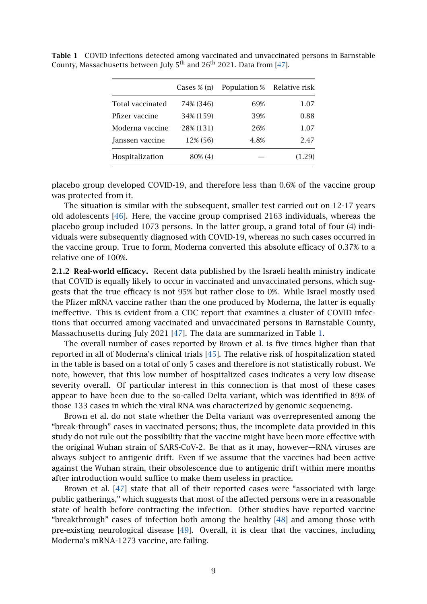|                                   | Cases $\%$ (n)         | Population % Relative risk |        |
|-----------------------------------|------------------------|----------------------------|--------|
| <b>Total vaccinated</b>           |                        | 69%                        | 1.07   |
|                                   | 74% (346)<br>34% (159) | 39%                        |        |
| Pfizer vaccine<br>Moderna vaccine |                        |                            | 0.88   |
|                                   | 28% (131)              | 26%                        | 1.07   |
| Janssen vaccine                   | 12% (56)               | 4.8%                       | 2.47   |
| Hospitalization                   | 80% (4)                |                            | (1.29) |

<span id="page-8-0"></span>Table 1 COVID infections detected among vaccinated and unvaccinated persons in Barnstable County, Massachusetts between July  $5<sup>th</sup>$  and  $26<sup>th</sup>$  2021. Data from [\[47\]](#page-29-7).

placebo group developed COVID-19, and therefore less than 0.6% of the vaccine group was protected from it.

The situation is similar with the subsequent, smaller test carried out on 12-17 years old adolescents [\[46\]](#page-29-6). Here, the vaccine group comprised 2163 individuals, whereas the placebo group included 1073 persons. In the latter group, a grand total of four (4) individuals were subsequently diagnosed with COVID-19, whereas no such cases occurred in the vaccine group. True to form, Moderna converted this absolute efficacy of 0.37% to a relative one of 100%.

<span id="page-8-1"></span>2.1.2 Real-world efficacy. Recent data published by the Israeli health ministry indicate that COVID is equally likely to occur in vaccinated and unvaccinated persons, which suggests that the true efficacy is not 95% but rather close to 0%. While Israel mostly used the Pfizer mRNA vaccine rather than the one produced by Moderna, the latter is equally ineffective. This is evident from a CDC report that examines a cluster of COVID infections that occurred among vaccinated and unvaccinated persons in Barnstable County, Massachusetts during July 2021 [\[47\]](#page-29-7). The data are summarized in Table [1.](#page-8-0)

The overall number of cases reported by Brown et al. is five times higher than that reported in all of Moderna's clinical trials [\[45\]](#page-29-5). The relative risk of hospitalization stated in the table is based on a total of only 5 cases and therefore is not statistically robust. We note, however, that this low number of hospitalized cases indicates a very low disease severity overall. Of particular interest in this connection is that most of these cases appear to have been due to the so-called Delta variant, which was identified in 89% of those 133 cases in which the viral RNA was characterized by genomic sequencing.

Brown et al. do not state whether the Delta variant was overrepresented among the "break-through" cases in vaccinated persons; thus, the incomplete data provided in this study do not rule out the possibility that the vaccine might have been more effective with the original Wuhan strain of SARS-CoV-2. Be that as it may, however—RNA viruses are always subject to antigenic drift. Even if we assume that the vaccines had been active against the Wuhan strain, their obsolescence due to antigenic drift within mere months after introduction would suffice to make them useless in practice.

Brown et al. [\[47\]](#page-29-7) state that all of their reported cases were "associated with large public gatherings," which suggests that most of the affected persons were in a reasonable state of health before contracting the infection. Other studies have reported vaccine "breakthrough" cases of infection both among the healthy [\[48\]](#page-29-8) and among those with pre-existing neurological disease [\[49\]](#page-29-9). Overall, it is clear that the vaccines, including Moderna's mRNA-1273 vaccine, are failing.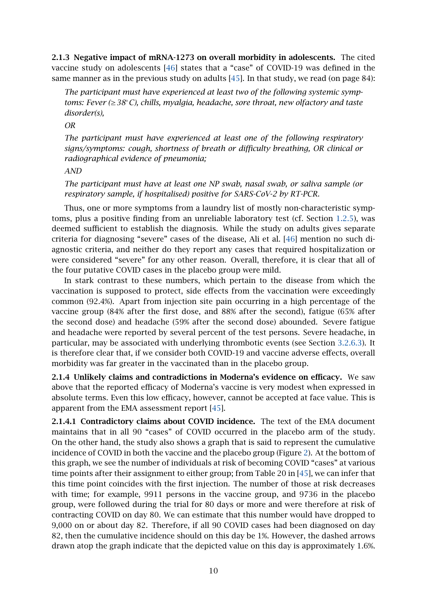<span id="page-9-0"></span>2.1.3 Negative impact of mRNA-1273 on overall morbidity in adolescents. The cited vaccine study on adolescents [\[46\]](#page-29-6) states that a "case" of COVID-19 was defined in the same manner as in the previous study on adults [\[45\]](#page-29-5). In that study, we read (on page 84):

*The participant must have experienced at least two of the following systemic symptoms: Fever (*≥*38*◦*C), chills, myalgia, headache, sore throat, new olfactory and taste disorder(s),*

*OR*

*The participant must have experienced at least one of the following respiratory signs/symptoms: cough, shortness of breath or difficulty breathing, OR clinical or radiographical evidence of pneumonia;*

#### *AND*

*The participant must have at least one NP swab, nasal swab, or saliva sample (or respiratory sample, if hospitalised) positive for SARS-CoV-2 by RT-PCR.*

Thus, one or more symptoms from a laundry list of mostly non-characteristic symptoms, plus a positive finding from an unreliable laboratory test (cf. Section [1.2.5\)](#page-7-1), was deemed sufficient to establish the diagnosis. While the study on adults gives separate criteria for diagnosing "severe" cases of the disease, Ali et al. [\[46\]](#page-29-6) mention no such diagnostic criteria, and neither do they report any cases that required hospitalization or were considered "severe" for any other reason. Overall, therefore, it is clear that all of the four putative COVID cases in the placebo group were mild.

In stark contrast to these numbers, which pertain to the disease from which the vaccination is supposed to protect, side effects from the vaccination were exceedingly common (92.4%). Apart from injection site pain occurring in a high percentage of the vaccine group (84% after the first dose, and 88% after the second), fatigue (65% after the second dose) and headache (59% after the second dose) abounded. Severe fatigue and headache were reported by several percent of the test persons. Severe headache, in particular, may be associated with underlying thrombotic events (see Section [3.2.6.3\)](#page-22-0). It is therefore clear that, if we consider both COVID-19 and vaccine adverse effects, overall morbidity was far greater in the vaccinated than in the placebo group.

2.1.4 Unlikely claims and contradictions in Moderna's evidence on efficacy. We saw above that the reported efficacy of Moderna's vaccine is very modest when expressed in absolute terms. Even this low efficacy, however, cannot be accepted at face value. This is apparent from the EMA assessment report [\[45\]](#page-29-5).

2.1.4.1 Contradictory claims about COVID incidence. The text of the EMA document maintains that in all 90 "cases" of COVID occurred in the placebo arm of the study. On the other hand, the study also shows a graph that is said to represent the cumulative incidence of COVID in both the vaccine and the placebo group (Figure [2\)](#page-10-0). At the bottom of this graph, we see the number of individuals at risk of becoming COVID "cases" at various time points after their assignment to either group; from Table 20 in [\[45\]](#page-29-5), we can infer that this time point coincides with the first injection. The number of those at risk decreases with time; for example, 9911 persons in the vaccine group, and 9736 in the placebo group, were followed during the trial for 80 days or more and were therefore at risk of contracting COVID on day 80. We can estimate that this number would have dropped to 9,000 on or about day 82. Therefore, if all 90 COVID cases had been diagnosed on day 82, then the cumulative incidence should on this day be 1%. However, the dashed arrows drawn atop the graph indicate that the depicted value on this day is approximately 1.6%.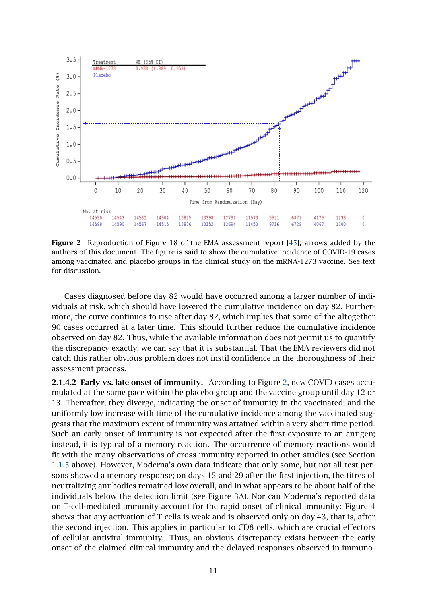<span id="page-10-0"></span>

Figure 2 Reproduction of Figure 18 of the EMA assessment report [\[45\]](#page-29-5); arrows added by the authors of this document. The figure is said to show the cumulative incidence of COVID-19 cases among vaccinated and placebo groups in the clinical study on the mRNA-1273 vaccine. See text for discussion.

Cases diagnosed before day 82 would have occurred among a larger number of individuals at risk, which should have lowered the cumulative incidence on day 82. Furthermore, the curve continues to rise after day 82, which implies that some of the altogether 90 cases occurred at a later time. This should further reduce the cumulative incidence observed on day 82. Thus, while the available information does not permit us to quantify the discrepancy exactly, we can say that it is substantial. That the EMA reviewers did not catch this rather obvious problem does not instil confidence in the thoroughness of their assessment process.

2.1.4.2 Early vs. late onset of immunity. According to Figure [2,](#page-10-0) new COVID cases accumulated at the same pace within the placebo group and the vaccine group until day 12 or 13. Thereafter, they diverge, indicating the onset of immunity in the vaccinated; and the uniformly low increase with time of the cumulative incidence among the vaccinated suggests that the maximum extent of immunity was attained within a very short time period. Such an early onset of immunity is not expected after the first exposure to an antigen; instead, it is typical of a memory reaction. The occurrence of memory reactions would fit with the many observations of cross-immunity reported in other studies (see Section [1.1.5](#page-3-0) above). However, Moderna's own data indicate that only some, but not all test persons showed a memory response; on days 15 and 29 after the first injection, the titres of neutralizing antibodies remained low overall, and in what appears to be about half of the individuals below the detection limit (see Figure [3A](#page-11-0)). Nor can Moderna's reported data on T-cell-mediated immunity account for the rapid onset of clinical immunity: Figure [4](#page-11-1) shows that any activation of T-cells is weak and is observed only on day 43, that is, after the second injection. This applies in particular to CD8 cells, which are crucial effectors of cellular antiviral immunity. Thus, an obvious discrepancy exists between the early onset of the claimed clinical immunity and the delayed responses observed in immuno-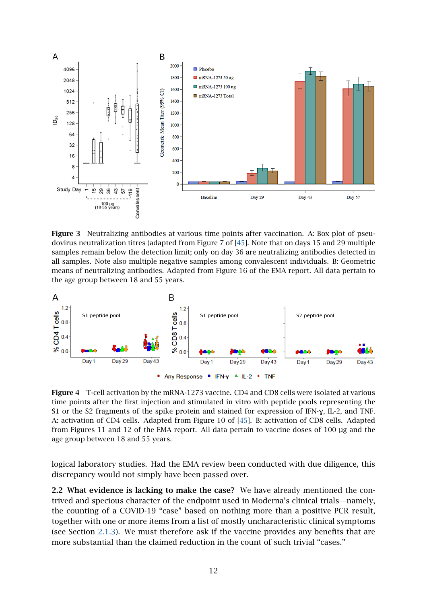<span id="page-11-0"></span>

Figure 3 Neutralizing antibodies at various time points after vaccination. A: Box plot of pseudovirus neutralization titres (adapted from Figure 7 of [\[45\]](#page-29-5). Note that on days 15 and 29 multiple samples remain below the detection limit; only on day 36 are neutralizing antibodies detected in all samples. Note also multiple negative samples among convalescent individuals. B: Geometric means of neutralizing antibodies. Adapted from Figure 16 of the EMA report. All data pertain to the age group between 18 and 55 years.

<span id="page-11-1"></span>

Figure 4 T-cell activation by the mRNA-1273 vaccine. CD4 and CD8 cells were isolated at various time points after the first injection and stimulated in vitro with peptide pools representing the S1 or the S2 fragments of the spike protein and stained for expression of IFN-γ, IL-2, and TNF. A: activation of CD4 cells. Adapted from Figure 10 of [\[45\]](#page-29-5). B: activation of CD8 cells. Adapted from Figures 11 and 12 of the EMA report. All data pertain to vaccine doses of 100 µg and the age group between 18 and 55 years.

logical laboratory studies. Had the EMA review been conducted with due diligence, this discrepancy would not simply have been passed over.

2.2 What evidence is lacking to make the case? We have already mentioned the contrived and specious character of the endpoint used in Moderna's clinical trials—namely, the counting of a COVID-19 "case" based on nothing more than a positive PCR result, together with one or more items from a list of mostly uncharacteristic clinical symptoms (see Section [2.1.3\)](#page-9-0). We must therefore ask if the vaccine provides any benefits that are more substantial than the claimed reduction in the count of such trivial "cases."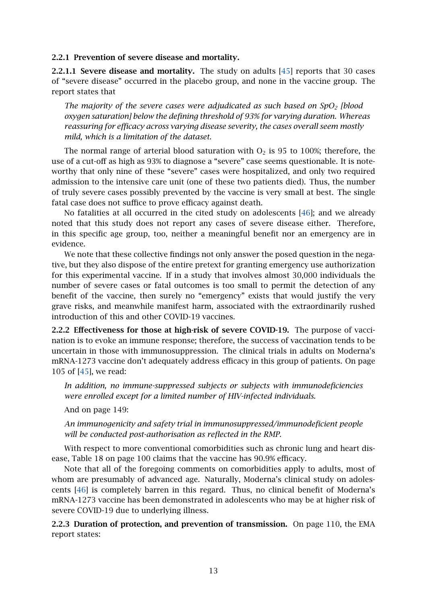2.2.1 Prevention of severe disease and mortality.

**2.2.1.1 Severe disease and mortality.** The study on adults  $[45]$  reports that 30 cases of "severe disease" occurred in the placebo group, and none in the vaccine group. The report states that

*The majority of the severe cases were adjudicated as such based on SpO<sup>2</sup> [blood oxygen saturation] below the defining threshold of 93% for varying duration. Whereas reassuring for efficacy across varying disease severity, the cases overall seem mostly mild, which is a limitation of the dataset.*

The normal range of arterial blood saturation with  $O<sub>2</sub>$  is 95 to 100%; therefore, the use of a cut-off as high as 93% to diagnose a "severe" case seems questionable. It is noteworthy that only nine of these "severe" cases were hospitalized, and only two required admission to the intensive care unit (one of these two patients died). Thus, the number of truly severe cases possibly prevented by the vaccine is very small at best. The single fatal case does not suffice to prove efficacy against death.

No fatalities at all occurred in the cited study on adolescents [\[46\]](#page-29-6); and we already noted that this study does not report any cases of severe disease either. Therefore, in this specific age group, too, neither a meaningful benefit nor an emergency are in evidence.

We note that these collective findings not only answer the posed question in the negative, but they also dispose of the entire pretext for granting emergency use authorization for this experimental vaccine. If in a study that involves almost 30,000 individuals the number of severe cases or fatal outcomes is too small to permit the detection of any benefit of the vaccine, then surely no "emergency" exists that would justify the very grave risks, and meanwhile manifest harm, associated with the extraordinarily rushed introduction of this and other COVID-19 vaccines.

2.2.2 Effectiveness for those at high-risk of severe COVID-19. The purpose of vaccination is to evoke an immune response; therefore, the success of vaccination tends to be uncertain in those with immunosuppression. The clinical trials in adults on Moderna's mRNA-1273 vaccine don't adequately address efficacy in this group of patients. On page 105 of [\[45\]](#page-29-5), we read:

*In addition, no immune-suppressed subjects or subjects with immunodeficiencies were enrolled except for a limited number of HIV-infected individuals.*

And on page 149:

*An immunogenicity and safety trial in immunosuppressed/immunodeficient people will be conducted post-authorisation as reflected in the RMP.*

With respect to more conventional comorbidities such as chronic lung and heart disease, Table 18 on page 100 claims that the vaccine has 90.9% efficacy.

Note that all of the foregoing comments on comorbidities apply to adults, most of whom are presumably of advanced age. Naturally, Moderna's clinical study on adolescents [\[46\]](#page-29-6) is completely barren in this regard. Thus, no clinical benefit of Moderna's mRNA-1273 vaccine has been demonstrated in adolescents who may be at higher risk of severe COVID-19 due to underlying illness.

2.2.3 Duration of protection, and prevention of transmission. On page 110, the EMA report states: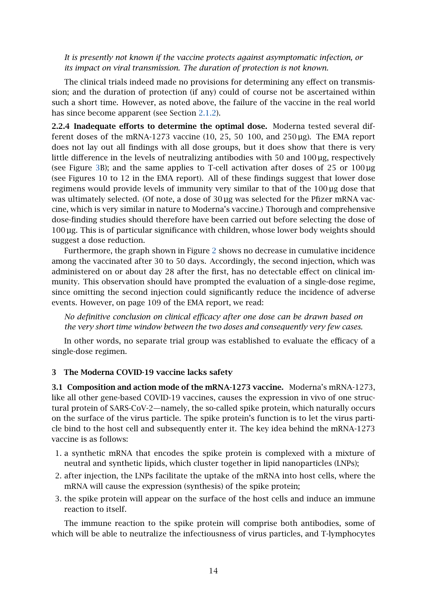*It is presently not known if the vaccine protects against asymptomatic infection, or its impact on viral transmission. The duration of protection is not known.*

The clinical trials indeed made no provisions for determining any effect on transmission; and the duration of protection (if any) could of course not be ascertained within such a short time. However, as noted above, the failure of the vaccine in the real world has since become apparent (see Section [2.1.2\)](#page-8-1).

2.2.4 Inadequate efforts to determine the optimal dose. Moderna tested several different doses of the mRNA-1273 vaccine (10, 25, 50 100, and 250 µg). The EMA report does not lay out all findings with all dose groups, but it does show that there is very little difference in the levels of neutralizing antibodies with 50 and 100 µg, respectively (see Figure [3B](#page-11-0)); and the same applies to T-cell activation after doses of  $25$  or  $100 \mu$ g (see Figures 10 to 12 in the EMA report). All of these findings suggest that lower dose regimens would provide levels of immunity very similar to that of the 100 µg dose that was ultimately selected. (Of note, a dose of  $30 \mu$ g was selected for the Pfizer mRNA vaccine, which is very similar in nature to Moderna's vaccine.) Thorough and comprehensive dose-finding studies should therefore have been carried out before selecting the dose of 100 µg. This is of particular significance with children, whose lower body weights should suggest a dose reduction.

Furthermore, the graph shown in Figure [2](#page-10-0) shows no decrease in cumulative incidence among the vaccinated after 30 to 50 days. Accordingly, the second injection, which was administered on or about day 28 after the first, has no detectable effect on clinical immunity. This observation should have prompted the evaluation of a single-dose regime, since omitting the second injection could significantly reduce the incidence of adverse events. However, on page 109 of the EMA report, we read:

*No definitive conclusion on clinical efficacy after one dose can be drawn based on the very short time window between the two doses and consequently very few cases.*

In other words, no separate trial group was established to evaluate the efficacy of a single-dose regimen.

#### <span id="page-13-0"></span>3 The Moderna COVID-19 vaccine lacks safety

<span id="page-13-1"></span>3.1 Composition and action mode of the mRNA-1273 vaccine. Moderna's mRNA-1273, like all other gene-based COVID-19 vaccines, causes the expression in vivo of one structural protein of SARS-CoV-2—namely, the so-called spike protein, which naturally occurs on the surface of the virus particle. The spike protein's function is to let the virus particle bind to the host cell and subsequently enter it. The key idea behind the mRNA-1273 vaccine is as follows:

- 1. a synthetic mRNA that encodes the spike protein is complexed with a mixture of neutral and synthetic lipids, which cluster together in lipid nanoparticles (LNPs);
- 2. after injection, the LNPs facilitate the uptake of the mRNA into host cells, where the mRNA will cause the expression (synthesis) of the spike protein;
- 3. the spike protein will appear on the surface of the host cells and induce an immune reaction to itself.

The immune reaction to the spike protein will comprise both antibodies, some of which will be able to neutralize the infectiousness of virus particles, and T-lymphocytes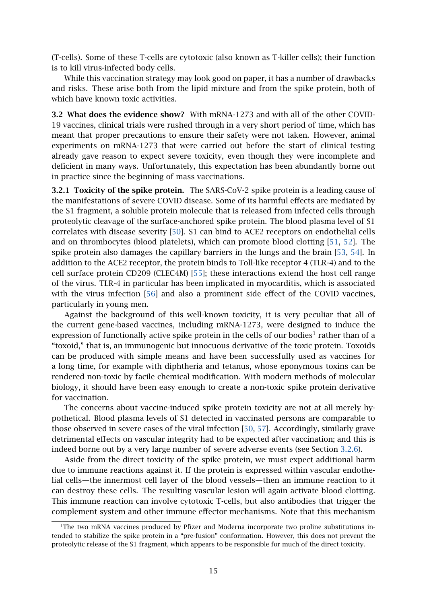(T-cells). Some of these T-cells are cytotoxic (also known as T-killer cells); their function is to kill virus-infected body cells.

While this vaccination strategy may look good on paper, it has a number of drawbacks and risks. These arise both from the lipid mixture and from the spike protein, both of which have known toxic activities.

3.2 What does the evidence show? With mRNA-1273 and with all of the other COVID-19 vaccines, clinical trials were rushed through in a very short period of time, which has meant that proper precautions to ensure their safety were not taken. However, animal experiments on mRNA-1273 that were carried out before the start of clinical testing already gave reason to expect severe toxicity, even though they were incomplete and deficient in many ways. Unfortunately, this expectation has been abundantly borne out in practice since the beginning of mass vaccinations.

3.2.1 Toxicity of the spike protein. The SARS-CoV-2 spike protein is a leading cause of the manifestations of severe COVID disease. Some of its harmful effects are mediated by the S1 fragment, a soluble protein molecule that is released from infected cells through proteolytic cleavage of the surface-anchored spike protein. The blood plasma level of S1 correlates with disease severity [\[50\]](#page-29-10). S1 can bind to ACE2 receptors on endothelial cells and on thrombocytes (blood platelets), which can promote blood clotting [\[51,](#page-29-11) [52\]](#page-29-12). The spike protein also damages the capillary barriers in the lungs and the brain [\[53,](#page-29-13) [54\]](#page-29-14). In addition to the ACE2 receptor, the protein binds to Toll-like receptor 4 (TLR-4) and to the cell surface protein CD209 (CLEC4M) [\[55\]](#page-29-15); these interactions extend the host cell range of the virus. TLR-4 in particular has been implicated in myocarditis, which is associated with the virus infection [\[56\]](#page-30-0) and also a prominent side effect of the COVID vaccines, particularly in young men.

Against the background of this well-known toxicity, it is very peculiar that all of the current gene-based vaccines, including mRNA-1273, were designed to induce the expression of functionally active spike protein in the cells of our bodies<sup>1</sup> rather than of a "toxoid," that is, an immunogenic but innocuous derivative of the toxic protein. Toxoids can be produced with simple means and have been successfully used as vaccines for a long time, for example with diphtheria and tetanus, whose eponymous toxins can be rendered non-toxic by facile chemical modification. With modern methods of molecular biology, it should have been easy enough to create a non-toxic spike protein derivative for vaccination.

The concerns about vaccine-induced spike protein toxicity are not at all merely hypothetical. Blood plasma levels of S1 detected in vaccinated persons are comparable to those observed in severe cases of the viral infection [\[50,](#page-29-10) [57\]](#page-30-1). Accordingly, similarly grave detrimental effects on vascular integrity had to be expected after vaccination; and this is indeed borne out by a very large number of severe adverse events (see Section [3.2.6\)](#page-20-0).

Aside from the direct toxicity of the spike protein, we must expect additional harm due to immune reactions against it. If the protein is expressed within vascular endothelial cells—the innermost cell layer of the blood vessels—then an immune reaction to it can destroy these cells. The resulting vascular lesion will again activate blood clotting. This immune reaction can involve cytotoxic T-cells, but also antibodies that trigger the complement system and other immune effector mechanisms. Note that this mechanism

 $1$ <sup>1</sup>The two mRNA vaccines produced by Pfizer and Moderna incorporate two proline substitutions intended to stabilize the spike protein in a "pre-fusion" conformation. However, this does not prevent the proteolytic release of the S1 fragment, which appears to be responsible for much of the direct toxicity.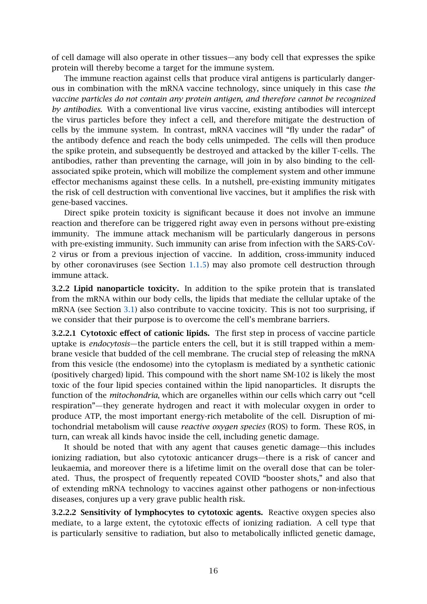of cell damage will also operate in other tissues—any body cell that expresses the spike protein will thereby become a target for the immune system.

The immune reaction against cells that produce viral antigens is particularly dangerous in combination with the mRNA vaccine technology, since uniquely in this case *the vaccine particles do not contain any protein antigen, and therefore cannot be recognized by antibodies.* With a conventional live virus vaccine, existing antibodies will intercept the virus particles before they infect a cell, and therefore mitigate the destruction of cells by the immune system. In contrast, mRNA vaccines will "fly under the radar" of the antibody defence and reach the body cells unimpeded. The cells will then produce the spike protein, and subsequently be destroyed and attacked by the killer T-cells. The antibodies, rather than preventing the carnage, will join in by also binding to the cellassociated spike protein, which will mobilize the complement system and other immune effector mechanisms against these cells. In a nutshell, pre-existing immunity mitigates the risk of cell destruction with conventional live vaccines, but it amplifies the risk with gene-based vaccines.

Direct spike protein toxicity is significant because it does not involve an immune reaction and therefore can be triggered right away even in persons without pre-existing immunity. The immune attack mechanism will be particularly dangerous in persons with pre-existing immunity. Such immunity can arise from infection with the SARS-CoV-2 virus or from a previous injection of vaccine. In addition, cross-immunity induced by other coronaviruses (see Section [1.1.5\)](#page-3-0) may also promote cell destruction through immune attack.

3.2.2 Lipid nanoparticle toxicity. In addition to the spike protein that is translated from the mRNA within our body cells, the lipids that mediate the cellular uptake of the mRNA (see Section [3.1\)](#page-13-1) also contribute to vaccine toxicity. This is not too surprising, if we consider that their purpose is to overcome the cell's membrane barriers.

3.2.2.1 Cytotoxic effect of cationic lipids. The first step in process of vaccine particle uptake is *endocytosis*—the particle enters the cell, but it is still trapped within a membrane vesicle that budded of the cell membrane. The crucial step of releasing the mRNA from this vesicle (the endosome) into the cytoplasm is mediated by a synthetic cationic (positively charged) lipid. This compound with the short name SM-102 is likely the most toxic of the four lipid species contained within the lipid nanoparticles. It disrupts the function of the *mitochondria*, which are organelles within our cells which carry out "cell respiration"—they generate hydrogen and react it with molecular oxygen in order to produce ATP, the most important energy-rich metabolite of the cell. Disruption of mitochondrial metabolism will cause *reactive oxygen species* (ROS) to form. These ROS, in turn, can wreak all kinds havoc inside the cell, including genetic damage.

It should be noted that with any agent that causes genetic damage—this includes ionizing radiation, but also cytotoxic anticancer drugs—there is a risk of cancer and leukaemia, and moreover there is a lifetime limit on the overall dose that can be tolerated. Thus, the prospect of frequently repeated COVID "booster shots," and also that of extending mRNA technology to vaccines against other pathogens or non-infectious diseases, conjures up a very grave public health risk.

3.2.2.2 Sensitivity of lymphocytes to cytotoxic agents. Reactive oxygen species also mediate, to a large extent, the cytotoxic effects of ionizing radiation. A cell type that is particularly sensitive to radiation, but also to metabolically inflicted genetic damage,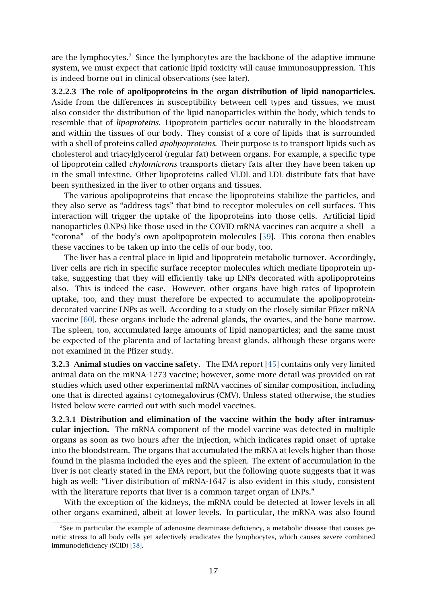are the lymphocytes.<sup>2</sup> Since the lymphocytes are the backbone of the adaptive immune system, we must expect that cationic lipid toxicity will cause immunosuppression. This is indeed borne out in clinical observations (see later).

<span id="page-16-0"></span>3.2.2.3 The role of apolipoproteins in the organ distribution of lipid nanoparticles. Aside from the differences in susceptibility between cell types and tissues, we must also consider the distribution of the lipid nanoparticles within the body, which tends to resemble that of *lipoproteins*. Lipoprotein particles occur naturally in the bloodstream and within the tissues of our body. They consist of a core of lipids that is surrounded with a shell of proteins called *apolipoproteins*. Their purpose is to transport lipids such as cholesterol and triacylglycerol (regular fat) between organs. For example, a specific type of lipoprotein called *chylomicrons* transports dietary fats after they have been taken up in the small intestine. Other lipoproteins called VLDL and LDL distribute fats that have been synthesized in the liver to other organs and tissues.

The various apolipoproteins that encase the lipoproteins stabilize the particles, and they also serve as "address tags" that bind to receptor molecules on cell surfaces. This interaction will trigger the uptake of the lipoproteins into those cells. Artificial lipid nanoparticles (LNPs) like those used in the COVID mRNA vaccines can acquire a shell—a "corona"—of the body's own apolipoprotein molecules [\[59\]](#page-30-2). This corona then enables these vaccines to be taken up into the cells of our body, too.

The liver has a central place in lipid and lipoprotein metabolic turnover. Accordingly, liver cells are rich in specific surface receptor molecules which mediate lipoprotein uptake, suggesting that they will efficiently take up LNPs decorated with apolipoproteins also. This is indeed the case. However, other organs have high rates of lipoprotein uptake, too, and they must therefore be expected to accumulate the apolipoproteindecorated vaccine LNPs as well. According to a study on the closely similar Pfizer mRNA vaccine [\[60\]](#page-30-3), these organs include the adrenal glands, the ovaries, and the bone marrow. The spleen, too, accumulated large amounts of lipid nanoparticles; and the same must be expected of the placenta and of lactating breast glands, although these organs were not examined in the Pfizer study.

3.2.3 Animal studies on vaccine safety. The EMA report [\[45\]](#page-29-5) contains only very limited animal data on the mRNA-1273 vaccine; however, some more detail was provided on rat studies which used other experimental mRNA vaccines of similar composition, including one that is directed against cytomegalovirus (CMV). Unless stated otherwise, the studies listed below were carried out with such model vaccines.

<span id="page-16-1"></span>3.2.3.1 Distribution and elimination of the vaccine within the body after intramuscular injection. The mRNA component of the model vaccine was detected in multiple organs as soon as two hours after the injection, which indicates rapid onset of uptake into the bloodstream. The organs that accumulated the mRNA at levels higher than those found in the plasma included the eyes and the spleen. The extent of accumulation in the liver is not clearly stated in the EMA report, but the following quote suggests that it was high as well: "Liver distribution of mRNA-1647 is also evident in this study, consistent with the literature reports that liver is a common target organ of LNPs."

With the exception of the kidneys, the mRNA could be detected at lower levels in all other organs examined, albeit at lower levels. In particular, the mRNA was also found

<sup>&</sup>lt;sup>2</sup>See in particular the example of adenosine deaminase deficiency, a metabolic disease that causes genetic stress to all body cells yet selectively eradicates the lymphocytes, which causes severe combined immunodeficiency (SCID) [\[58\]](#page-30-4).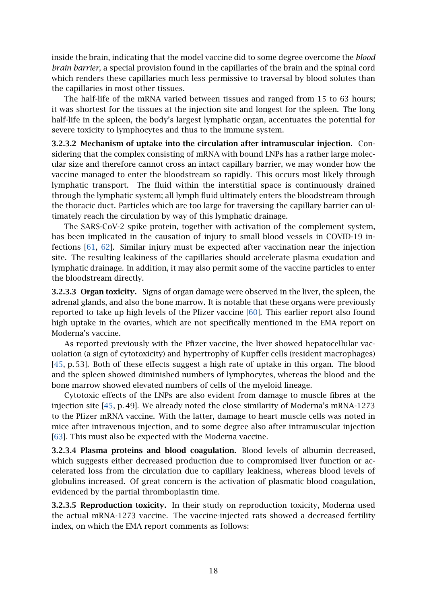inside the brain, indicating that the model vaccine did to some degree overcome the *blood brain barrier*, a special provision found in the capillaries of the brain and the spinal cord which renders these capillaries much less permissive to traversal by blood solutes than the capillaries in most other tissues.

The half-life of the mRNA varied between tissues and ranged from 15 to 63 hours; it was shortest for the tissues at the injection site and longest for the spleen. The long half-life in the spleen, the body's largest lymphatic organ, accentuates the potential for severe toxicity to lymphocytes and thus to the immune system.

3.2.3.2 Mechanism of uptake into the circulation after intramuscular injection. Considering that the complex consisting of mRNA with bound LNPs has a rather large molecular size and therefore cannot cross an intact capillary barrier, we may wonder how the vaccine managed to enter the bloodstream so rapidly. This occurs most likely through lymphatic transport. The fluid within the interstitial space is continuously drained through the lymphatic system; all lymph fluid ultimately enters the bloodstream through the thoracic duct. Particles which are too large for traversing the capillary barrier can ultimately reach the circulation by way of this lymphatic drainage.

The SARS-CoV-2 spike protein, together with activation of the complement system, has been implicated in the causation of injury to small blood vessels in COVID-19 infections [\[61,](#page-30-5) [62\]](#page-30-6). Similar injury must be expected after vaccination near the injection site. The resulting leakiness of the capillaries should accelerate plasma exudation and lymphatic drainage. In addition, it may also permit some of the vaccine particles to enter the bloodstream directly.

3.2.3.3 Organ toxicity. Signs of organ damage were observed in the liver, the spleen, the adrenal glands, and also the bone marrow. It is notable that these organs were previously reported to take up high levels of the Pfizer vaccine [\[60\]](#page-30-3). This earlier report also found high uptake in the ovaries, which are not specifically mentioned in the EMA report on Moderna's vaccine.

As reported previously with the Pfizer vaccine, the liver showed hepatocellular vacuolation (a sign of cytotoxicity) and hypertrophy of Kupffer cells (resident macrophages) [\[45,](#page-29-5) p. 53]. Both of these effects suggest a high rate of uptake in this organ. The blood and the spleen showed diminished numbers of lymphocytes, whereas the blood and the bone marrow showed elevated numbers of cells of the myeloid lineage.

Cytotoxic effects of the LNPs are also evident from damage to muscle fibres at the injection site [\[45,](#page-29-5) p. 49]. We already noted the close similarity of Moderna's mRNA-1273 to the Pfizer mRNA vaccine. With the latter, damage to heart muscle cells was noted in mice after intravenous injection, and to some degree also after intramuscular injection [\[63\]](#page-30-7). This must also be expected with the Moderna vaccine.

3.2.3.4 Plasma proteins and blood coagulation. Blood levels of albumin decreased, which suggests either decreased production due to compromised liver function or accelerated loss from the circulation due to capillary leakiness, whereas blood levels of globulins increased. Of great concern is the activation of plasmatic blood coagulation, evidenced by the partial thromboplastin time.

<span id="page-17-0"></span>3.2.3.5 Reproduction toxicity. In their study on reproduction toxicity, Moderna used the actual mRNA-1273 vaccine. The vaccine-injected rats showed a decreased fertility index, on which the EMA report comments as follows: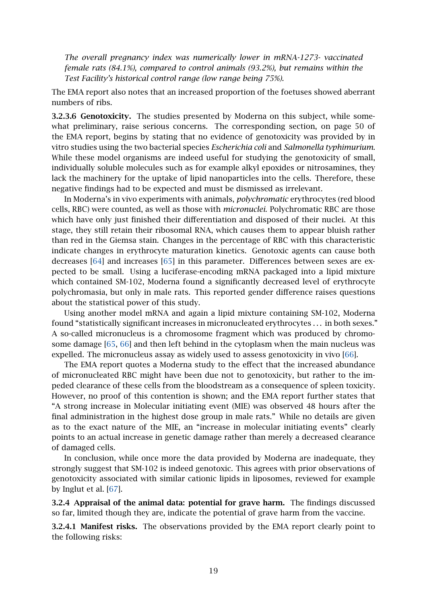*The overall pregnancy index was numerically lower in mRNA-1273- vaccinated female rats (84.1%), compared to control animals (93.2%), but remains within the Test Facility's historical control range (low range being 75%).*

The EMA report also notes that an increased proportion of the foetuses showed aberrant numbers of ribs.

<span id="page-18-0"></span>3.2.3.6 Genotoxicity. The studies presented by Moderna on this subject, while somewhat preliminary, raise serious concerns. The corresponding section, on page 50 of the EMA report, begins by stating that no evidence of genotoxicity was provided by in vitro studies using the two bacterial species *Escherichia coli* and *Salmonella typhimurium*. While these model organisms are indeed useful for studying the genotoxicity of small, individually soluble molecules such as for example alkyl epoxides or nitrosamines, they lack the machinery for the uptake of lipid nanoparticles into the cells. Therefore, these negative findings had to be expected and must be dismissed as irrelevant.

In Moderna's in vivo experiments with animals, *polychromatic* erythrocytes (red blood cells, RBC) were counted, as well as those with *micronuclei.* Polychromatic RBC are those which have only just finished their differentiation and disposed of their nuclei. At this stage, they still retain their ribosomal RNA, which causes them to appear bluish rather than red in the Giemsa stain. Changes in the percentage of RBC with this characteristic indicate changes in erythrocyte maturation kinetics. Genotoxic agents can cause both decreases [\[64\]](#page-30-8) and increases [\[65\]](#page-30-9) in this parameter. Differences between sexes are expected to be small. Using a luciferase-encoding mRNA packaged into a lipid mixture which contained SM-102, Moderna found a significantly decreased level of erythrocyte polychromasia, but only in male rats. This reported gender difference raises questions about the statistical power of this study.

Using another model mRNA and again a lipid mixture containing SM-102, Moderna found "statistically significant increases in micronucleated erythrocytes . . . in both sexes." A so-called micronucleus is a chromosome fragment which was produced by chromosome damage [\[65,](#page-30-9) [66\]](#page-30-10) and then left behind in the cytoplasm when the main nucleus was expelled. The micronucleus assay as widely used to assess genotoxicity in vivo [\[66\]](#page-30-10).

The EMA report quotes a Moderna study to the effect that the increased abundance of micronucleated RBC might have been due not to genotoxicity, but rather to the impeded clearance of these cells from the bloodstream as a consequence of spleen toxicity. However, no proof of this contention is shown; and the EMA report further states that "A strong increase in Molecular initiating event (MIE) was observed 48 hours after the final administration in the highest dose group in male rats." While no details are given as to the exact nature of the MIE, an "increase in molecular initiating events" clearly points to an actual increase in genetic damage rather than merely a decreased clearance of damaged cells.

In conclusion, while once more the data provided by Moderna are inadequate, they strongly suggest that SM-102 is indeed genotoxic. This agrees with prior observations of genotoxicity associated with similar cationic lipids in liposomes, reviewed for example by Inglut et al. [\[67\]](#page-30-11).

3.2.4 Appraisal of the animal data: potential for grave harm. The findings discussed so far, limited though they are, indicate the potential of grave harm from the vaccine.

3.2.4.1 Manifest risks. The observations provided by the EMA report clearly point to the following risks: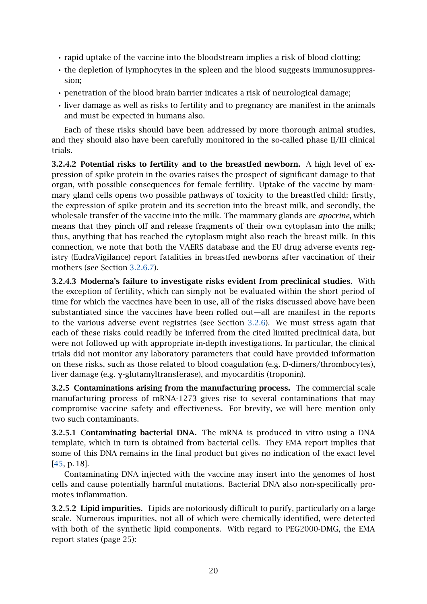- rapid uptake of the vaccine into the bloodstream implies a risk of blood clotting;
- the depletion of lymphocytes in the spleen and the blood suggests immunosuppression;
- penetration of the blood brain barrier indicates a risk of neurological damage;
- liver damage as well as risks to fertility and to pregnancy are manifest in the animals and must be expected in humans also.

Each of these risks should have been addressed by more thorough animal studies, and they should also have been carefully monitored in the so-called phase II/III clinical trials.

3.2.4.2 Potential risks to fertility and to the breastfed newborn. A high level of expression of spike protein in the ovaries raises the prospect of significant damage to that organ, with possible consequences for female fertility. Uptake of the vaccine by mammary gland cells opens two possible pathways of toxicity to the breastfed child: firstly, the expression of spike protein and its secretion into the breast milk, and secondly, the wholesale transfer of the vaccine into the milk. The mammary glands are *apocrine*, which means that they pinch off and release fragments of their own cytoplasm into the milk; thus, anything that has reached the cytoplasm might also reach the breast milk. In this connection, we note that both the VAERS database and the EU drug adverse events registry (EudraVigilance) report fatalities in breastfed newborns after vaccination of their mothers (see Section [3.2.6.7\)](#page-23-0).

3.2.4.3 Moderna's failure to investigate risks evident from preclinical studies. With the exception of fertility, which can simply not be evaluated within the short period of time for which the vaccines have been in use, all of the risks discussed above have been substantiated since the vaccines have been rolled out—all are manifest in the reports to the various adverse event registries (see Section [3.2.6\)](#page-20-0). We must stress again that each of these risks could readily be inferred from the cited limited preclinical data, but were not followed up with appropriate in-depth investigations. In particular, the clinical trials did not monitor any laboratory parameters that could have provided information on these risks, such as those related to blood coagulation (e.g. D-dimers/thrombocytes), liver damage (e.g. γ-glutamyltransferase), and myocarditis (troponin).

3.2.5 Contaminations arising from the manufacturing process. The commercial scale manufacturing process of mRNA-1273 gives rise to several contaminations that may compromise vaccine safety and effectiveness. For brevity, we will here mention only two such contaminants.

3.2.5.1 Contaminating bacterial DNA. The mRNA is produced in vitro using a DNA template, which in turn is obtained from bacterial cells. They EMA report implies that some of this DNA remains in the final product but gives no indication of the exact level [\[45,](#page-29-5) p. 18].

Contaminating DNA injected with the vaccine may insert into the genomes of host cells and cause potentially harmful mutations. Bacterial DNA also non-specifically promotes inflammation.

3.2.5.2 Lipid impurities. Lipids are notoriously difficult to purify, particularly on a large scale. Numerous impurities, not all of which were chemically identified, were detected with both of the synthetic lipid components. With regard to PEG2000-DMG, the EMA report states (page 25):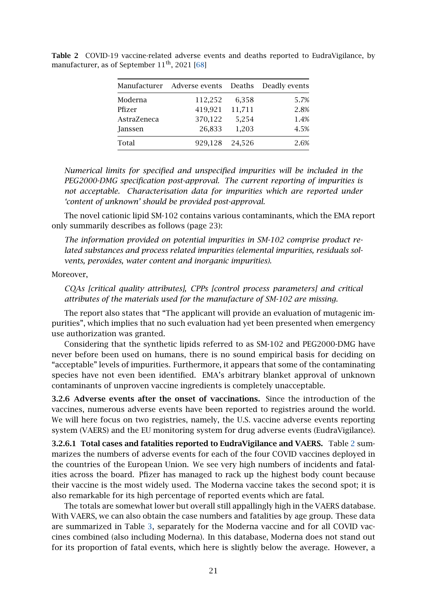|             | Manufacturer Adverse events Deaths Deadly events |        |      |  |
|-------------|--------------------------------------------------|--------|------|--|
| Moderna     | 112,252                                          | 6,358  | 5.7% |  |
| Pfizer      | 419,921                                          | 11,711 | 2.8% |  |
| AstraZeneca | 370,122                                          | 5,254  | 1.4% |  |
| Janssen     | 26,833                                           | 1,203  | 4.5% |  |
| Total       | 929,128                                          | 24,526 | 2.6% |  |

<span id="page-20-1"></span>Table 2 COVID-19 vaccine-related adverse events and deaths reported to EudraVigilance, by manufacturer, as of September 11<sup>th</sup>, 2021 [\[68\]](#page-30-12)

*Numerical limits for specified and unspecified impurities will be included in the PEG2000-DMG specification post-approval. The current reporting of impurities is not acceptable. Characterisation data for impurities which are reported under 'content of unknown' should be provided post-approval.*

The novel cationic lipid SM-102 contains various contaminants, which the EMA report only summarily describes as follows (page 23):

*The information provided on potential impurities in SM-102 comprise product related substances and process related impurities (elemental impurities, residuals solvents, peroxides, water content and inorganic impurities).*

Moreover,

*CQAs [critical quality attributes], CPPs [control process parameters] and critical attributes of the materials used for the manufacture of SM-102 are missing.*

The report also states that "The applicant will provide an evaluation of mutagenic impurities", which implies that no such evaluation had yet been presented when emergency use authorization was granted.

Considering that the synthetic lipids referred to as SM-102 and PEG2000-DMG have never before been used on humans, there is no sound empirical basis for deciding on "acceptable" levels of impurities. Furthermore, it appears that some of the contaminating species have not even been identified. EMA's arbitrary blanket approval of unknown contaminants of unproven vaccine ingredients is completely unacceptable.

<span id="page-20-0"></span>3.2.6 Adverse events after the onset of vaccinations. Since the introduction of the vaccines, numerous adverse events have been reported to registries around the world. We will here focus on two registries, namely, the U.S. vaccine adverse events reporting system (VAERS) and the EU monitoring system for drug adverse events (EudraVigilance).

3.2.6.1 Total cases and fatalities reported to EudraVigilance and VAERS. Table [2](#page-20-1) summarizes the numbers of adverse events for each of the four COVID vaccines deployed in the countries of the European Union. We see very high numbers of incidents and fatalities across the board. Pfizer has managed to rack up the highest body count because their vaccine is the most widely used. The Moderna vaccine takes the second spot; it is also remarkable for its high percentage of reported events which are fatal.

The totals are somewhat lower but overall still appallingly high in the VAERS database. With VAERS, we can also obtain the case numbers and fatalities by age group. These data are summarized in Table [3,](#page-21-0) separately for the Moderna vaccine and for all COVID vaccines combined (also including Moderna). In this database, Moderna does not stand out for its proportion of fatal events, which here is slightly below the average. However, a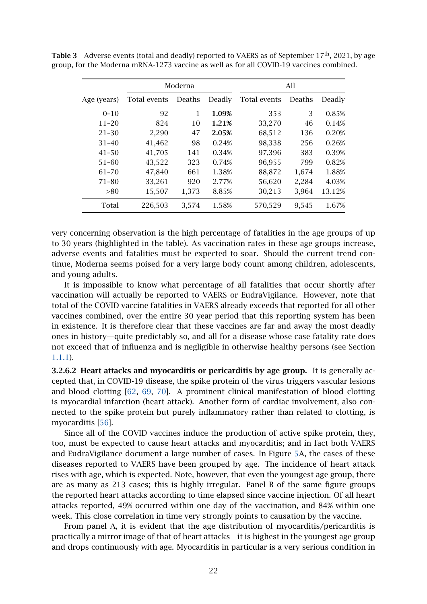|             | Moderna      |        |        | All          |        |        |
|-------------|--------------|--------|--------|--------------|--------|--------|
| Age (years) | Total events | Deaths | Deadly | Total events | Deaths | Deadly |
| $0 - 10$    | 92           | 1      | 1.09%  | 353          | 3      | 0.85%  |
| $11 - 20$   | 824          | 10     | 1.21%  | 33,270       | 46     | 0.14%  |
| $21 - 30$   | 2,290        | 47     | 2.05%  | 68,512       | 136    | 0.20%  |
| $31 - 40$   | 41,462       | 98     | 0.24%  | 98,338       | 256    | 0.26%  |
| $41 - 50$   | 41,705       | 141    | 0.34%  | 97,396       | 383    | 0.39%  |
| $51 - 60$   | 43,522       | 323    | 0.74%  | 96,955       | 799    | 0.82%  |
| $61 - 70$   | 47,840       | 661    | 1.38%  | 88,872       | 1,674  | 1.88%  |
| $71 - 80$   | 33,261       | 920    | 2.77%  | 56,620       | 2,284  | 4.03%  |
| >80         | 15,507       | 1,373  | 8.85%  | 30,213       | 3,964  | 13.12% |
| Total       | 226,503      | 3,574  | 1.58%  | 570,529      | 9,545  | 1.67%  |

<span id="page-21-0"></span>Table 3 Adverse events (total and deadly) reported to VAERS as of September 17<sup>th</sup>, 2021, by age group, for the Moderna mRNA-1273 vaccine as well as for all COVID-19 vaccines combined.

very concerning observation is the high percentage of fatalities in the age groups of up to 30 years (highlighted in the table). As vaccination rates in these age groups increase, adverse events and fatalities must be expected to soar. Should the current trend continue, Moderna seems poised for a very large body count among children, adolescents, and young adults.

It is impossible to know what percentage of all fatalities that occur shortly after vaccination will actually be reported to VAERS or EudraVigilance. However, note that total of the COVID vaccine fatalities in VAERS already exceeds that reported for all other vaccines combined, over the entire 30 year period that this reporting system has been in existence. It is therefore clear that these vaccines are far and away the most deadly ones in history—quite predictably so, and all for a disease whose case fatality rate does not exceed that of influenza and is negligible in otherwise healthy persons (see Section [1.1.1\)](#page-1-2).

3.2.6.2 Heart attacks and myocarditis or pericarditis by age group. It is generally accepted that, in COVID-19 disease, the spike protein of the virus triggers vascular lesions and blood clotting [\[62,](#page-30-6) [69,](#page-30-13) [70\]](#page-30-14). A prominent clinical manifestation of blood clotting is myocardial infarction (heart attack). Another form of cardiac involvement, also connected to the spike protein but purely inflammatory rather than related to clotting, is myocarditis [\[56\]](#page-30-0).

Since all of the COVID vaccines induce the production of active spike protein, they, too, must be expected to cause heart attacks and myocarditis; and in fact both VAERS and EudraVigilance document a large number of cases. In Figure [5A](#page-22-1), the cases of these diseases reported to VAERS have been grouped by age. The incidence of heart attack rises with age, which is expected. Note, however, that even the youngest age group, there are as many as 213 cases; this is highly irregular. Panel B of the same figure groups the reported heart attacks according to time elapsed since vaccine injection. Of all heart attacks reported, 49% occurred within one day of the vaccination, and 84% within one week. This close correlation in time very strongly points to causation by the vaccine.

From panel A, it is evident that the age distribution of myocarditis/pericarditis is practically a mirror image of that of heart attacks—it is highest in the youngest age group and drops continuously with age. Myocarditis in particular is a very serious condition in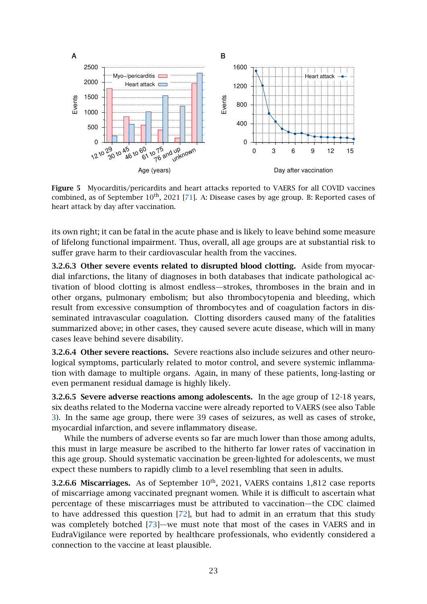<span id="page-22-1"></span>

Figure 5 Myocarditis/pericardits and heart attacks reported to VAERS for all COVID vaccines combined, as of September 10<sup>th</sup>, 2021 [\[71\]](#page-30-15). A: Disease cases by age group. B: Reported cases of heart attack by day after vaccination.

its own right; it can be fatal in the acute phase and is likely to leave behind some measure of lifelong functional impairment. Thus, overall, all age groups are at substantial risk to suffer grave harm to their cardiovascular health from the vaccines.

<span id="page-22-0"></span>3.2.6.3 Other severe events related to disrupted blood clotting. Aside from myocardial infarctions, the litany of diagnoses in both databases that indicate pathological activation of blood clotting is almost endless—strokes, thromboses in the brain and in other organs, pulmonary embolism; but also thrombocytopenia and bleeding, which result from excessive consumption of thrombocytes and of coagulation factors in disseminated intravascular coagulation. Clotting disorders caused many of the fatalities summarized above; in other cases, they caused severe acute disease, which will in many cases leave behind severe disability.

3.2.6.4 Other severe reactions. Severe reactions also include seizures and other neurological symptoms, particularly related to motor control, and severe systemic inflammation with damage to multiple organs. Again, in many of these patients, long-lasting or even permanent residual damage is highly likely.

3.2.6.5 Severe adverse reactions among adolescents. In the age group of 12-18 years, six deaths related to the Moderna vaccine were already reported to VAERS (see also Table [3\)](#page-21-0). In the same age group, there were 39 cases of seizures, as well as cases of stroke, myocardial infarction, and severe inflammatory disease.

While the numbers of adverse events so far are much lower than those among adults, this must in large measure be ascribed to the hitherto far lower rates of vaccination in this age group. Should systematic vaccination be green-lighted for adolescents, we must expect these numbers to rapidly climb to a level resembling that seen in adults.

**3.2.6.6 Miscarriages.** As of September  $10<sup>th</sup>$ , 2021, VAERS contains 1,812 case reports of miscarriage among vaccinated pregnant women. While it is difficult to ascertain what percentage of these miscarriages must be attributed to vaccination—the CDC claimed to have addressed this question [\[72\]](#page-30-16), but had to admit in an erratum that this study was completely botched [\[73\]](#page-30-17)—we must note that most of the cases in VAERS and in EudraVigilance were reported by healthcare professionals, who evidently considered a connection to the vaccine at least plausible.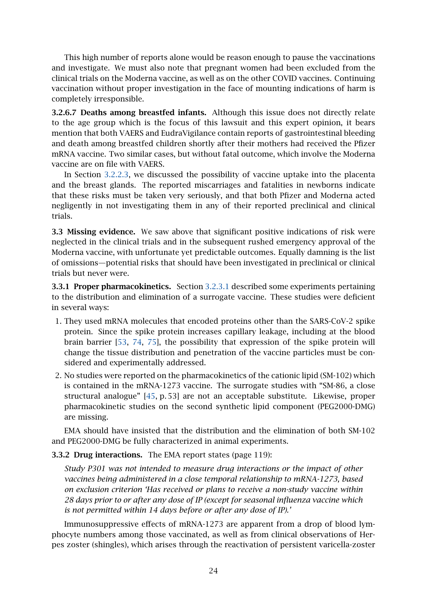This high number of reports alone would be reason enough to pause the vaccinations and investigate. We must also note that pregnant women had been excluded from the clinical trials on the Moderna vaccine, as well as on the other COVID vaccines. Continuing vaccination without proper investigation in the face of mounting indications of harm is completely irresponsible.

<span id="page-23-0"></span>3.2.6.7 Deaths among breastfed infants. Although this issue does not directly relate to the age group which is the focus of this lawsuit and this expert opinion, it bears mention that both VAERS and EudraVigilance contain reports of gastrointestinal bleeding and death among breastfed children shortly after their mothers had received the Pfizer mRNA vaccine. Two similar cases, but without fatal outcome, which involve the Moderna vaccine are on file with VAERS.

In Section [3.2.2.3,](#page-16-0) we discussed the possibility of vaccine uptake into the placenta and the breast glands. The reported miscarriages and fatalities in newborns indicate that these risks must be taken very seriously, and that both Pfizer and Moderna acted negligently in not investigating them in any of their reported preclinical and clinical trials.

3.3 Missing evidence. We saw above that significant positive indications of risk were neglected in the clinical trials and in the subsequent rushed emergency approval of the Moderna vaccine, with unfortunate yet predictable outcomes. Equally damning is the list of omissions—potential risks that should have been investigated in preclinical or clinical trials but never were.

3.3.1 Proper pharmacokinetics. Section [3.2.3.1](#page-16-1) described some experiments pertaining to the distribution and elimination of a surrogate vaccine. These studies were deficient in several ways:

- 1. They used mRNA molecules that encoded proteins other than the SARS-CoV-2 spike protein. Since the spike protein increases capillary leakage, including at the blood brain barrier [\[53,](#page-29-13) [74,](#page-31-0) [75\]](#page-31-1), the possibility that expression of the spike protein will change the tissue distribution and penetration of the vaccine particles must be considered and experimentally addressed.
- 2. No studies were reported on the pharmacokinetics of the cationic lipid (SM-102) which is contained in the mRNA-1273 vaccine. The surrogate studies with "SM-86, a close structural analogue" [\[45,](#page-29-5) p. 53] are not an acceptable substitute. Likewise, proper pharmacokinetic studies on the second synthetic lipid component (PEG2000-DMG) are missing.

EMA should have insisted that the distribution and the elimination of both SM-102 and PEG2000-DMG be fully characterized in animal experiments.

### 3.3.2 Drug interactions. The EMA report states (page 119):

*Study P301 was not intended to measure drug interactions or the impact of other vaccines being administered in a close temporal relationship to mRNA-1273, based on exclusion criterion 'Has received or plans to receive a non-study vaccine within 28 days prior to or after any dose of IP (except for seasonal influenza vaccine which is not permitted within 14 days before or after any dose of IP).'*

Immunosuppressive effects of mRNA-1273 are apparent from a drop of blood lymphocyte numbers among those vaccinated, as well as from clinical observations of Herpes zoster (shingles), which arises through the reactivation of persistent varicella-zoster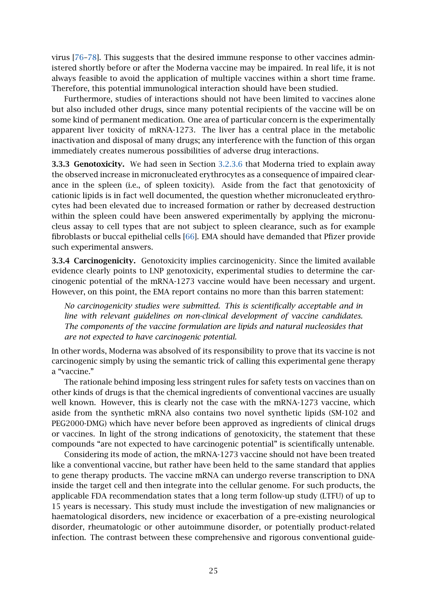virus [\[76](#page-31-2)[–78\]](#page-31-3). This suggests that the desired immune response to other vaccines administered shortly before or after the Moderna vaccine may be impaired. In real life, it is not always feasible to avoid the application of multiple vaccines within a short time frame. Therefore, this potential immunological interaction should have been studied.

Furthermore, studies of interactions should not have been limited to vaccines alone but also included other drugs, since many potential recipients of the vaccine will be on some kind of permanent medication. One area of particular concern is the experimentally apparent liver toxicity of mRNA-1273. The liver has a central place in the metabolic inactivation and disposal of many drugs; any interference with the function of this organ immediately creates numerous possibilities of adverse drug interactions.

3.3.3 Genotoxicity. We had seen in Section [3.2.3.6](#page-18-0) that Moderna tried to explain away the observed increase in micronucleated erythrocytes as a consequence of impaired clearance in the spleen (i.e., of spleen toxicity). Aside from the fact that genotoxicity of cationic lipids is in fact well documented, the question whether micronucleated erythrocytes had been elevated due to increased formation or rather by decreased destruction within the spleen could have been answered experimentally by applying the micronucleus assay to cell types that are not subject to spleen clearance, such as for example fibroblasts or buccal epithelial cells [\[66\]](#page-30-10). EMA should have demanded that Pfizer provide such experimental answers.

3.3.4 Carcinogenicity. Genotoxicity implies carcinogenicity. Since the limited available evidence clearly points to LNP genotoxicity, experimental studies to determine the carcinogenic potential of the mRNA-1273 vaccine would have been necessary and urgent. However, on this point, the EMA report contains no more than this barren statement:

*No carcinogenicity studies were submitted. This is scientifically acceptable and in line with relevant guidelines on non-clinical development of vaccine candidates. The components of the vaccine formulation are lipids and natural nucleosides that are not expected to have carcinogenic potential.*

In other words, Moderna was absolved of its responsibility to prove that its vaccine is not carcinogenic simply by using the semantic trick of calling this experimental gene therapy a "vaccine."

The rationale behind imposing less stringent rules for safety tests on vaccines than on other kinds of drugs is that the chemical ingredients of conventional vaccines are usually well known. However, this is clearly not the case with the mRNA-1273 vaccine, which aside from the synthetic mRNA also contains two novel synthetic lipids (SM-102 and PEG2000-DMG) which have never before been approved as ingredients of clinical drugs or vaccines. In light of the strong indications of genotoxicity, the statement that these compounds "are not expected to have carcinogenic potential" is scientifically untenable.

Considering its mode of action, the mRNA-1273 vaccine should not have been treated like a conventional vaccine, but rather have been held to the same standard that applies to gene therapy products. The vaccine mRNA can undergo reverse transcription to DNA inside the target cell and then integrate into the cellular genome. For such products, the applicable FDA recommendation states that a long term follow-up study (LTFU) of up to 15 years is necessary. This study must include the investigation of new malignancies or haematological disorders, new incidence or exacerbation of a pre-existing neurological disorder, rheumatologic or other autoimmune disorder, or potentially product-related infection. The contrast between these comprehensive and rigorous conventional guide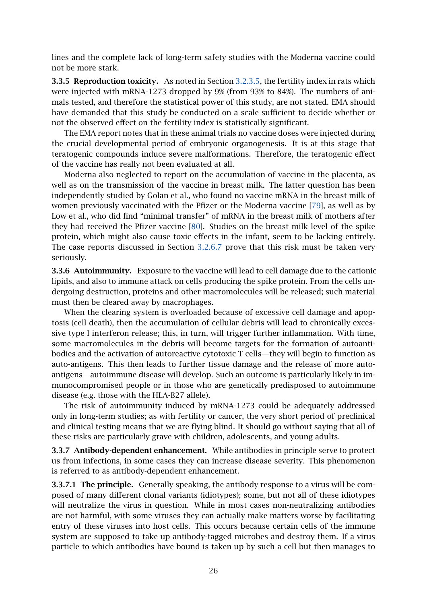lines and the complete lack of long-term safety studies with the Moderna vaccine could not be more stark.

3.3.5 Reproduction toxicity. As noted in Section [3.2.3.5,](#page-17-0) the fertility index in rats which were injected with mRNA-1273 dropped by 9% (from 93% to 84%). The numbers of animals tested, and therefore the statistical power of this study, are not stated. EMA should have demanded that this study be conducted on a scale sufficient to decide whether or not the observed effect on the fertility index is statistically significant.

The EMA report notes that in these animal trials no vaccine doses were injected during the crucial developmental period of embryonic organogenesis. It is at this stage that teratogenic compounds induce severe malformations. Therefore, the teratogenic effect of the vaccine has really not been evaluated at all.

Moderna also neglected to report on the accumulation of vaccine in the placenta, as well as on the transmission of the vaccine in breast milk. The latter question has been independently studied by Golan et al., who found no vaccine mRNA in the breast milk of women previously vaccinated with the Pfizer or the Moderna vaccine [\[79\]](#page-31-4), as well as by Low et al., who did find "minimal transfer" of mRNA in the breast milk of mothers after they had received the Pfizer vaccine [\[80\]](#page-31-5). Studies on the breast milk level of the spike protein, which might also cause toxic effects in the infant, seem to be lacking entirely. The case reports discussed in Section [3.2.6.7](#page-23-0) prove that this risk must be taken very seriously.

3.3.6 Autoimmunity. Exposure to the vaccine will lead to cell damage due to the cationic lipids, and also to immune attack on cells producing the spike protein. From the cells undergoing destruction, proteins and other macromolecules will be released; such material must then be cleared away by macrophages.

When the clearing system is overloaded because of excessive cell damage and apoptosis (cell death), then the accumulation of cellular debris will lead to chronically excessive type I interferon release; this, in turn, will trigger further inflammation. With time, some macromolecules in the debris will become targets for the formation of autoantibodies and the activation of autoreactive cytotoxic T cells—they will begin to function as auto-antigens. This then leads to further tissue damage and the release of more autoantigens—autoimmune disease will develop. Such an outcome is particularly likely in immunocompromised people or in those who are genetically predisposed to autoimmune disease (e.g. those with the HLA-B27 allele).

The risk of autoimmunity induced by mRNA-1273 could be adequately addressed only in long-term studies; as with fertility or cancer, the very short period of preclinical and clinical testing means that we are flying blind. It should go without saying that all of these risks are particularly grave with children, adolescents, and young adults.

3.3.7 Antibody-dependent enhancement. While antibodies in principle serve to protect us from infections, in some cases they can increase disease severity. This phenomenon is referred to as antibody-dependent enhancement.

3.3.7.1 The principle. Generally speaking, the antibody response to a virus will be composed of many different clonal variants (idiotypes); some, but not all of these idiotypes will neutralize the virus in question. While in most cases non-neutralizing antibodies are not harmful, with some viruses they can actually make matters worse by facilitating entry of these viruses into host cells. This occurs because certain cells of the immune system are supposed to take up antibody-tagged microbes and destroy them. If a virus particle to which antibodies have bound is taken up by such a cell but then manages to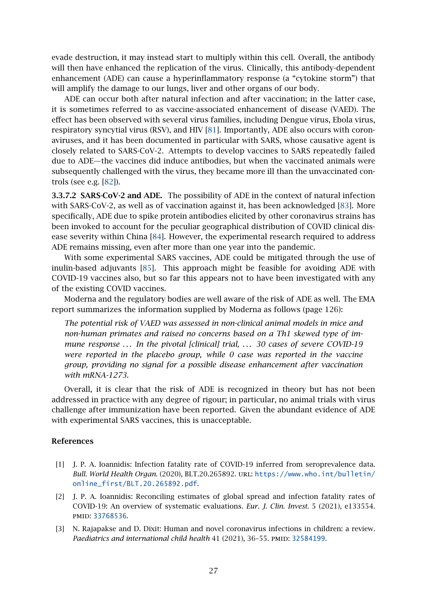evade destruction, it may instead start to multiply within this cell. Overall, the antibody will then have enhanced the replication of the virus. Clinically, this antibody-dependent enhancement (ADE) can cause a hyperinflammatory response (a "cytokine storm") that will amplify the damage to our lungs, liver and other organs of our body.

ADE can occur both after natural infection and after vaccination; in the latter case, it is sometimes referred to as vaccine-associated enhancement of disease (VAED). The effect has been observed with several virus families, including Dengue virus, Ebola virus, respiratory syncytial virus (RSV), and HIV [\[81\]](#page-31-6). Importantly, ADE also occurs with coronaviruses, and it has been documented in particular with SARS, whose causative agent is closely related to SARS-CoV-2. Attempts to develop vaccines to SARS repeatedly failed due to ADE—the vaccines did induce antibodies, but when the vaccinated animals were subsequently challenged with the virus, they became more ill than the unvaccinated controls (see e.g. [\[82\]](#page-31-7)).

3.3.7.2 SARS-CoV-2 and ADE. The possibility of ADE in the context of natural infection with SARS-CoV-2, as well as of vaccination against it, has been acknowledged [\[83\]](#page-31-8). More specifically, ADE due to spike protein antibodies elicited by other coronavirus strains has been invoked to account for the peculiar geographical distribution of COVID clinical disease severity within China [\[84\]](#page-31-9). However, the experimental research required to address ADE remains missing, even after more than one year into the pandemic.

With some experimental SARS vaccines, ADE could be mitigated through the use of inulin-based adjuvants [\[85\]](#page-31-10). This approach might be feasible for avoiding ADE with COVID-19 vaccines also, but so far this appears not to have been investigated with any of the existing COVID vaccines.

Moderna and the regulatory bodies are well aware of the risk of ADE as well. The EMA report summarizes the information supplied by Moderna as follows (page 126):

*The potential risk of VAED was assessed in non-clinical animal models in mice and non-human primates and raised no concerns based on a Th1 skewed type of immune response ... In the pivotal [clinical] trial, ... 30 cases of severe COVID-19 were reported in the placebo group, while 0 case was reported in the vaccine group, providing no signal for a possible disease enhancement after vaccination with mRNA-1273.*

Overall, it is clear that the risk of ADE is recognized in theory but has not been addressed in practice with any degree of rigour; in particular, no animal trials with virus challenge after immunization have been reported. Given the abundant evidence of ADE with experimental SARS vaccines, this is unacceptable.

#### References

- <span id="page-26-0"></span>[1] J. P. A. Ioannidis: Infection fatality rate of COVID-19 inferred from seroprevalence data. *Bull. World Health Organ.* (2020), BLT.20.265892. url: [https://www.who.int/bulletin/](https://www.who.int/bulletin/online_first/BLT.20.265892.pdf) [online\\_first/BLT.20.265892.pdf](https://www.who.int/bulletin/online_first/BLT.20.265892.pdf).
- <span id="page-26-1"></span>[2] J. P. A. Ioannidis: Reconciling estimates of global spread and infection fatality rates of COVID-19: An overview of systematic evaluations. *Eur. J. Clin. Invest.* 5 (2021), e133554. pmid: [33768536](http://www.ncbi.nlm.nih.gov/pubmed/33768536).
- <span id="page-26-2"></span>[3] N. Rajapakse and D. Dixit: Human and novel coronavirus infections in children: a review. Paediatrics and international child health 41 (2021), 36-55. PMID: [32584199](http://www.ncbi.nlm.nih.gov/pubmed/32584199).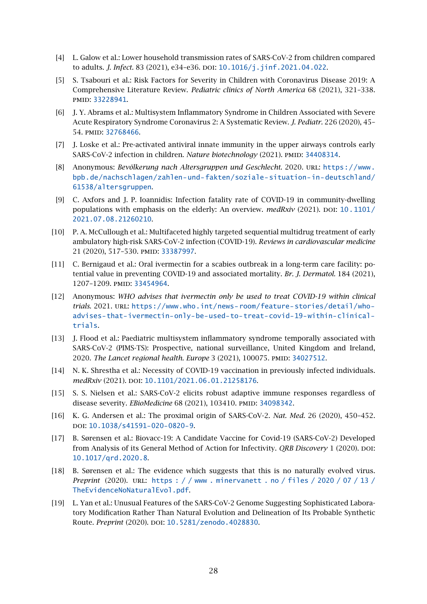- <span id="page-27-0"></span>[4] L. Galow et al.: Lower household transmission rates of SARS-CoV-2 from children compared to adults. *J. Infect.* 83 (2021), e34-e36. DOI: [10.1016/j.jinf.2021.04.022](http://dx.doi.org/10.1016/j.jinf.2021.04.022).
- <span id="page-27-1"></span>[5] S. Tsabouri et al.: Risk Factors for Severity in Children with Coronavirus Disease 2019: A Comprehensive Literature Review. *Pediatric clinics of North America* 68 (2021), 321–338. pmid: [33228941](http://www.ncbi.nlm.nih.gov/pubmed/33228941).
- <span id="page-27-2"></span>[6] J. Y. Abrams et al.: Multisystem Inflammatory Syndrome in Children Associated with Severe Acute Respiratory Syndrome Coronavirus 2: A Systematic Review. *J. Pediatr.* 226 (2020), 45– 54. pmid: [32768466](http://www.ncbi.nlm.nih.gov/pubmed/32768466).
- <span id="page-27-3"></span>[7] J. Loske et al.: Pre-activated antiviral innate immunity in the upper airways controls early SARS-CoV-2 infection in children. *Nature biotechnology* (2021). PMID: [34408314](http://www.ncbi.nlm.nih.gov/pubmed/34408314).
- <span id="page-27-4"></span>[8] Anonymous: *Bevölkerung nach Altersgruppen und Geschlecht*. 2020. URL: [https://www.](https://www.bpb.de/nachschlagen/zahlen-und-fakten/soziale-situation-in-deutschland/61538/altersgruppen) [bpb.de/nachschlagen/zahlen-und-fakten/soziale-situation-in-deutschland/](https://www.bpb.de/nachschlagen/zahlen-und-fakten/soziale-situation-in-deutschland/61538/altersgruppen) [61538/altersgruppen](https://www.bpb.de/nachschlagen/zahlen-und-fakten/soziale-situation-in-deutschland/61538/altersgruppen).
- <span id="page-27-5"></span>[9] C. Axfors and J. P. Ioannidis: Infection fatality rate of COVID-19 in community-dwelling populations with emphasis on the elderly: An overview. *medRxiv* (2021). DOI: [10.1101/](http://dx.doi.org/10.1101/2021.07.08.21260210) [2021.07.08.21260210](http://dx.doi.org/10.1101/2021.07.08.21260210).
- <span id="page-27-6"></span>[10] P. A. McCullough et al.: Multifaceted highly targeted sequential multidrug treatment of early ambulatory high-risk SARS-CoV-2 infection (COVID-19). *Reviews in cardiovascular medicine* 21 (2020), 517–530. pmid: [33387997](http://www.ncbi.nlm.nih.gov/pubmed/33387997).
- <span id="page-27-7"></span>[11] C. Bernigaud et al.: Oral ivermectin for a scabies outbreak in a long-term care facility: potential value in preventing COVID-19 and associated mortality. *Br. J. Dermatol.* 184 (2021), 1207–1209. pmid: [33454964](http://www.ncbi.nlm.nih.gov/pubmed/33454964).
- <span id="page-27-8"></span>[12] Anonymous: *WHO advises that ivermectin only be used to treat COVID-19 within clinical trials*. 2021. url: [https://www.who.int/news-room/feature-stories/detail/who](https://www.who.int/news-room/feature-stories/detail/who-advises-that-ivermectin-only-be-used-to-treat-covid-19-within-clinical-trials)[advises-that-ivermectin-only-be-used-to-treat-covid-19-within-clinical](https://www.who.int/news-room/feature-stories/detail/who-advises-that-ivermectin-only-be-used-to-treat-covid-19-within-clinical-trials)[trials](https://www.who.int/news-room/feature-stories/detail/who-advises-that-ivermectin-only-be-used-to-treat-covid-19-within-clinical-trials).
- <span id="page-27-9"></span>[13] J. Flood et al.: Paediatric multisystem inflammatory syndrome temporally associated with SARS-CoV-2 (PIMS-TS): Prospective, national surveillance, United Kingdom and Ireland, 2020. *The Lancet regional health. Europe* 3 (2021), 100075. pmid: [34027512](http://www.ncbi.nlm.nih.gov/pubmed/34027512).
- <span id="page-27-10"></span>[14] N. K. Shrestha et al.: Necessity of COVID-19 vaccination in previously infected individuals. *medRxiv* (2021). DOI: [10.1101/2021.06.01.21258176](http://dx.doi.org/10.1101/2021.06.01.21258176).
- <span id="page-27-11"></span>[15] S. S. Nielsen et al.: SARS-CoV-2 elicits robust adaptive immune responses regardless of disease severity. *EBioMedicine* 68 (2021), 103410. PMID: [34098342](http://www.ncbi.nlm.nih.gov/pubmed/34098342).
- <span id="page-27-12"></span>[16] K. G. Andersen et al.: The proximal origin of SARS-CoV-2. *Nat. Med.* 26 (2020), 450–452. doi: [10.1038/s41591-020-0820-9](http://dx.doi.org/10.1038/s41591-020-0820-9).
- <span id="page-27-13"></span>[17] B. Sørensen et al.: Biovacc-19: A Candidate Vaccine for Covid-19 (SARS-CoV-2) Developed from Analysis of its General Method of Action for Infectivity. *QRB Discovery* 1 (2020). DOI: [10.1017/qrd.2020.8](http://dx.doi.org/10.1017/qrd.2020.8).
- [18] B. Sørensen et al.: The evidence which suggests that this is no naturally evolved virus. *Preprint* (2020). url: [https : / / www . minervanett . no / files / 2020 / 07 / 13 /](https://www.minervanett.no/files/2020/07/13/TheEvidenceNoNaturalEvol.pdf) [TheEvidenceNoNaturalEvol.pdf](https://www.minervanett.no/files/2020/07/13/TheEvidenceNoNaturalEvol.pdf).
- [19] L. Yan et al.: Unusual Features of the SARS-CoV-2 Genome Suggesting Sophisticated Laboratory Modification Rather Than Natural Evolution and Delineation of Its Probable Synthetic Route. *Preprint* (2020). DOI: [10.5281/zenodo.4028830](http://dx.doi.org/10.5281/zenodo.4028830).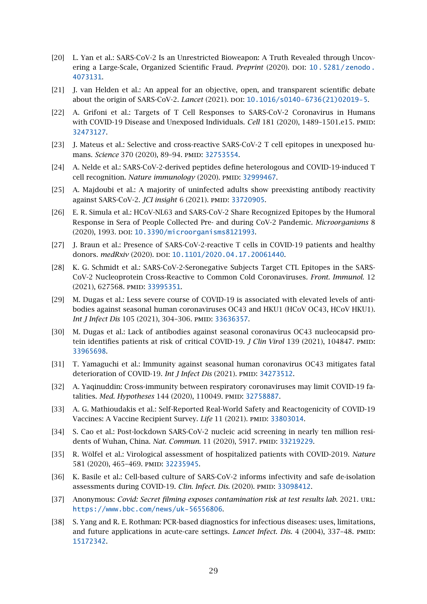- <span id="page-28-0"></span>[20] L. Yan et al.: SARS-CoV-2 Is an Unrestricted Bioweapon: A Truth Revealed through Uncovering a Large-Scale, Organized Scientific Fraud. *Preprint* (2020). DOI: [10.5281/zenodo.](http://dx.doi.org/10.5281/zenodo.4073131) [4073131](http://dx.doi.org/10.5281/zenodo.4073131).
- <span id="page-28-1"></span>[21] J. van Helden et al.: An appeal for an objective, open, and transparent scientific debate about the origin of SARS-CoV-2. *Lancet* (2021). DOI: [10.1016/s0140-6736\(21\)02019-5](http://dx.doi.org/10.1016/s0140-6736(21)02019-5).
- <span id="page-28-2"></span>[22] A. Grifoni et al.: Targets of T Cell Responses to SARS-CoV-2 Coronavirus in Humans with COVID-19 Disease and Unexposed Individuals. *Cell* 181 (2020), 1489-1501.e15. PMID: [32473127](http://www.ncbi.nlm.nih.gov/pubmed/32473127).
- [23] J. Mateus et al.: Selective and cross-reactive SARS-CoV-2 T cell epitopes in unexposed humans. *Science* 370 (2020), 89-94. PMID: [32753554](http://www.ncbi.nlm.nih.gov/pubmed/32753554).
- <span id="page-28-3"></span>[24] A. Nelde et al.: SARS-CoV-2-derived peptides define heterologous and COVID-19-induced T cell recognition. *Nature immunology* (2020). PMID: [32999467](http://www.ncbi.nlm.nih.gov/pubmed/32999467).
- <span id="page-28-4"></span>[25] A. Majdoubi et al.: A majority of uninfected adults show preexisting antibody reactivity against SARS-CoV-2. *JCI insight* 6 (2021). PMID: [33720905](http://www.ncbi.nlm.nih.gov/pubmed/33720905).
- <span id="page-28-5"></span>[26] E. R. Simula et al.: HCoV-NL63 and SARS-CoV-2 Share Recognized Epitopes by the Humoral Response in Sera of People Collected Pre- and during CoV-2 Pandemic. *Microorganisms* 8 (2020), 1993. DOI: [10.3390/microorganisms8121993](http://dx.doi.org/10.3390/microorganisms8121993).
- <span id="page-28-6"></span>[27] J. Braun et al.: Presence of SARS-CoV-2-reactive T cells in COVID-19 patients and healthy donors. *medRxiv* (2020). DOI: [10.1101/2020.04.17.20061440](http://dx.doi.org/10.1101/2020.04.17.20061440).
- <span id="page-28-7"></span>[28] K. G. Schmidt et al.: SARS-CoV-2-Seronegative Subjects Target CTL Epitopes in the SARS-CoV-2 Nucleoprotein Cross-Reactive to Common Cold Coronaviruses. *Front. Immunol.* 12 (2021), 627568. pmid: [33995351](http://www.ncbi.nlm.nih.gov/pubmed/33995351).
- <span id="page-28-8"></span>[29] M. Dugas et al.: Less severe course of COVID-19 is associated with elevated levels of antibodies against seasonal human coronaviruses OC43 and HKU1 (HCoV OC43, HCoV HKU1). *Int J Infect Dis* 105 (2021), 304-306. PMID: [33636357](http://www.ncbi.nlm.nih.gov/pubmed/33636357).
- [30] M. Dugas et al.: Lack of antibodies against seasonal coronavirus OC43 nucleocapsid protein identifies patients at risk of critical COVID-19. *J Clin Virol* 139 (2021), 104847. PMID: [33965698](http://www.ncbi.nlm.nih.gov/pubmed/33965698).
- [31] T. Yamaguchi et al.: Immunity against seasonal human coronavirus OC43 mitigates fatal deterioration of COVID-19. *Int J Infect Dis* (2021). PMID: [34273512](http://www.ncbi.nlm.nih.gov/pubmed/34273512).
- <span id="page-28-9"></span>[32] A. Yaqinuddin: Cross-immunity between respiratory coronaviruses may limit COVID-19 fatalities. *Med. Hypotheses* 144 (2020), 110049. PMID: [32758887](http://www.ncbi.nlm.nih.gov/pubmed/32758887).
- <span id="page-28-10"></span>[33] A. G. Mathioudakis et al.: Self-Reported Real-World Safety and Reactogenicity of COVID-19 Vaccines: A Vaccine Recipient Survey. *Life* 11 (2021). PMID: [33803014](http://www.ncbi.nlm.nih.gov/pubmed/33803014).
- <span id="page-28-11"></span>[34] S. Cao et al.: Post-lockdown SARS-CoV-2 nucleic acid screening in nearly ten million residents of Wuhan, China. *Nat. Commun.* 11 (2020), 5917. PMID: [33219229](http://www.ncbi.nlm.nih.gov/pubmed/33219229).
- <span id="page-28-12"></span>[35] R. Wölfel et al.: Virological assessment of hospitalized patients with COVID-2019. *Nature* 581 (2020), 465-469. PMID: [32235945](http://www.ncbi.nlm.nih.gov/pubmed/32235945).
- <span id="page-28-13"></span>[36] K. Basile et al.: Cell-based culture of SARS-CoV-2 informs infectivity and safe de-isolation assessments during COVID-19. *Clin. Infect. Dis.* (2020). PMID: [33098412](http://www.ncbi.nlm.nih.gov/pubmed/33098412).
- <span id="page-28-14"></span>[37] Anonymous: *Covid: Secret filming exposes contamination risk at test results lab*. 2021. url: <https://www.bbc.com/news/uk-56556806>.
- <span id="page-28-15"></span>[38] S. Yang and R. E. Rothman: PCR-based diagnostics for infectious diseases: uses, limitations, and future applications in acute-care settings. *Lancet Infect. Dis.* 4 (2004), 337-48. PMID: [15172342](http://www.ncbi.nlm.nih.gov/pubmed/15172342).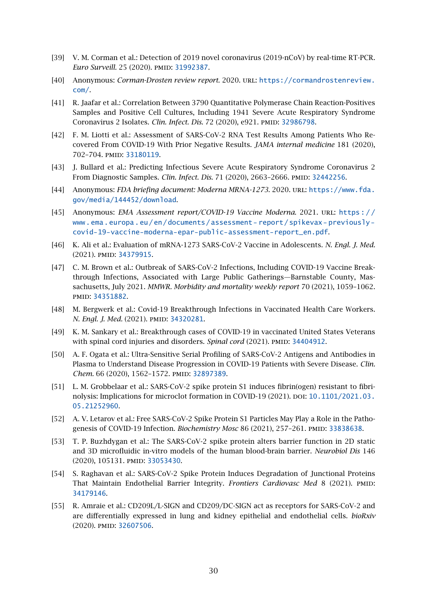- <span id="page-29-0"></span>[39] V. M. Corman et al.: Detection of 2019 novel coronavirus (2019-nCoV) by real-time RT-PCR. *Euro Surveill.* 25 (2020). PMID: [31992387](http://www.ncbi.nlm.nih.gov/pubmed/31992387).
- <span id="page-29-1"></span>[40] Anonymous: *Corman-Drosten review report*. 2020. url: [https://cormandrostenreview.](https://cormandrostenreview.com/) [com/](https://cormandrostenreview.com/).
- <span id="page-29-2"></span>[41] R. Jaafar et al.: Correlation Between 3790 Quantitative Polymerase Chain Reaction-Positives Samples and Positive Cell Cultures, Including 1941 Severe Acute Respiratory Syndrome Coronavirus 2 Isolates. *Clin. Infect. Dis.* 72 (2020), e921. PMID: [32986798](http://www.ncbi.nlm.nih.gov/pubmed/32986798).
- [42] F. M. Liotti et al.: Assessment of SARS-CoV-2 RNA Test Results Among Patients Who Recovered From COVID-19 With Prior Negative Results. *JAMA internal medicine* 181 (2020), 702–704. pmid: [33180119](http://www.ncbi.nlm.nih.gov/pubmed/33180119).
- <span id="page-29-3"></span>[43] J. Bullard et al.: Predicting Infectious Severe Acute Respiratory Syndrome Coronavirus 2 From Diagnostic Samples. *Clin. Infect. Dis.* 71 (2020), 2663–2666. pmid: [32442256](http://www.ncbi.nlm.nih.gov/pubmed/32442256).
- <span id="page-29-4"></span>[44] Anonymous: *FDA briefing document: Moderna MRNA-1273*. 2020. URL: [https://www.fda.](https://www.fda.gov/media/144452/download) [gov/media/144452/download](https://www.fda.gov/media/144452/download).
- <span id="page-29-5"></span>[45] Anonymous: *EMA Assessment report/COVID-19 Vaccine Moderna*. 2021. url: [https : / /](https://www.ema.europa.eu/en/documents/assessment-report/spikevax-previously-covid-19-vaccine-moderna-epar-public-assessment-report_en.pdf) www.ema.europa.eu/en/documents/assessment-report/spikevax-previously[covid-19-vaccine-moderna-epar-public-assessment-report\\_en.pdf](https://www.ema.europa.eu/en/documents/assessment-report/spikevax-previously-covid-19-vaccine-moderna-epar-public-assessment-report_en.pdf).
- <span id="page-29-6"></span>[46] K. Ali et al.: Evaluation of mRNA-1273 SARS-CoV-2 Vaccine in Adolescents. *N. Engl. J. Med.* (2021). PMID: [34379915](http://www.ncbi.nlm.nih.gov/pubmed/34379915).
- <span id="page-29-7"></span>[47] C. M. Brown et al.: Outbreak of SARS-CoV-2 Infections, Including COVID-19 Vaccine Breakthrough Infections, Associated with Large Public Gatherings—Barnstable County, Massachusetts, July 2021. *MMWR. Morbidity and mortality weekly report* 70 (2021), 1059–1062. pmid: [34351882](http://www.ncbi.nlm.nih.gov/pubmed/34351882).
- <span id="page-29-8"></span>[48] M. Bergwerk et al.: Covid-19 Breakthrough Infections in Vaccinated Health Care Workers. *N. Engl. J. Med.* (2021). PMID: [34320281](http://www.ncbi.nlm.nih.gov/pubmed/34320281).
- <span id="page-29-9"></span>[49] K. M. Sankary et al.: Breakthrough cases of COVID-19 in vaccinated United States Veterans with spinal cord injuries and disorders. *Spinal cord* (2021). PMID: [34404912](http://www.ncbi.nlm.nih.gov/pubmed/34404912).
- <span id="page-29-10"></span>[50] A. F. Ogata et al.: Ultra-Sensitive Serial Profiling of SARS-CoV-2 Antigens and Antibodies in Plasma to Understand Disease Progression in COVID-19 Patients with Severe Disease. *Clin.* Chem. 66 (2020), 1562-1572. PMID: [32897389](http://www.ncbi.nlm.nih.gov/pubmed/32897389).
- <span id="page-29-11"></span>[51] L. M. Grobbelaar et al.: SARS-CoV-2 spike protein S1 induces fibrin(ogen) resistant to fibri-nolysis: Implications for microclot formation in COVID-19 (2021). DOI: [10.1101/2021.03.](http://dx.doi.org/10.1101/2021.03.05.21252960) [05.21252960](http://dx.doi.org/10.1101/2021.03.05.21252960).
- <span id="page-29-12"></span>[52] A. V. Letarov et al.: Free SARS-CoV-2 Spike Protein S1 Particles May Play a Role in the Pathogenesis of COVID-19 Infection. *Biochemistry Mosc* 86 (2021), 257-261. PMID: [33838638](http://www.ncbi.nlm.nih.gov/pubmed/33838638).
- <span id="page-29-13"></span>[53] T. P. Buzhdygan et al.: The SARS-CoV-2 spike protein alters barrier function in 2D static and 3D microfluidic in-vitro models of the human blood-brain barrier. *Neurobiol Dis* 146 (2020), 105131. pmid: [33053430](http://www.ncbi.nlm.nih.gov/pubmed/33053430).
- <span id="page-29-14"></span>[54] S. Raghavan et al.: SARS-CoV-2 Spike Protein Induces Degradation of Junctional Proteins That Maintain Endothelial Barrier Integrity. *Frontiers Cardiovasc Med* 8 (2021). PMID: [34179146](http://www.ncbi.nlm.nih.gov/pubmed/34179146).
- <span id="page-29-15"></span>[55] R. Amraie et al.: CD209L/L-SIGN and CD209/DC-SIGN act as receptors for SARS-CoV-2 and are differentially expressed in lung and kidney epithelial and endothelial cells. *bioRxiv* (2020). pmid: [32607506](http://www.ncbi.nlm.nih.gov/pubmed/32607506).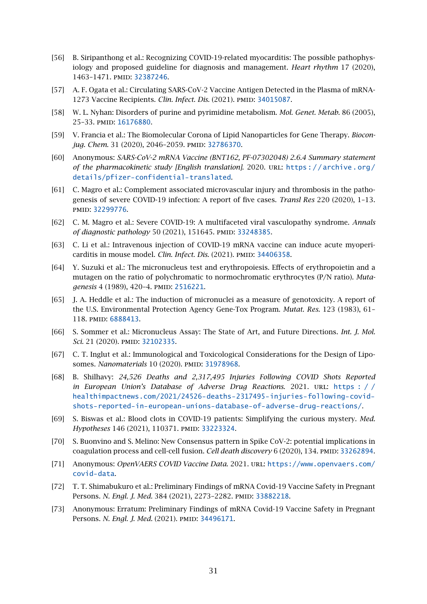- <span id="page-30-0"></span>[56] B. Siripanthong et al.: Recognizing COVID-19-related myocarditis: The possible pathophysiology and proposed guideline for diagnosis and management. *Heart rhythm* 17 (2020), 1463–1471. pmid: [32387246](http://www.ncbi.nlm.nih.gov/pubmed/32387246).
- <span id="page-30-1"></span>[57] A. F. Ogata et al.: Circulating SARS-CoV-2 Vaccine Antigen Detected in the Plasma of mRNA-1273 Vaccine Recipients. *Clin. Infect. Dis.* (2021). PMID: [34015087](http://www.ncbi.nlm.nih.gov/pubmed/34015087).
- <span id="page-30-4"></span>[58] W. L. Nyhan: Disorders of purine and pyrimidine metabolism. *Mol. Genet. Metab.* 86 (2005), 25–33. pmid: [16176880](http://www.ncbi.nlm.nih.gov/pubmed/16176880).
- <span id="page-30-2"></span>[59] V. Francia et al.: The Biomolecular Corona of Lipid Nanoparticles for Gene Therapy. *Biocon-*jug. Chem. 31 (2020), 2046-2059. PMID: [32786370](http://www.ncbi.nlm.nih.gov/pubmed/32786370).
- <span id="page-30-3"></span>[60] Anonymous: *SARS-CoV-2 mRNA Vaccine (BNT162, PF-07302048) 2.6.4 Summary statement of the pharmacokinetic study [English translation]*. 2020. url: [https : / / archive . org /](https://archive.org/details/pfizer-confidential-translated) [details/pfizer-confidential-translated](https://archive.org/details/pfizer-confidential-translated).
- <span id="page-30-5"></span>[61] C. Magro et al.: Complement associated microvascular injury and thrombosis in the pathogenesis of severe COVID-19 infection: A report of five cases. *Transl Res* 220 (2020), 1–13. pmid: [32299776](http://www.ncbi.nlm.nih.gov/pubmed/32299776).
- <span id="page-30-6"></span>[62] C. M. Magro et al.: Severe COVID-19: A multifaceted viral vasculopathy syndrome. *Annals of diagnostic pathology* 50 (2021), 151645. PMID: [33248385](http://www.ncbi.nlm.nih.gov/pubmed/33248385).
- <span id="page-30-7"></span>[63] C. Li et al.: Intravenous injection of COVID-19 mRNA vaccine can induce acute myopericarditis in mouse model. *Clin. Infect. Dis.* (2021). PMID: [34406358](http://www.ncbi.nlm.nih.gov/pubmed/34406358).
- <span id="page-30-8"></span>[64] Y. Suzuki et al.: The micronucleus test and erythropoiesis. Effects of erythropoietin and a mutagen on the ratio of polychromatic to normochromatic erythrocytes (P/N ratio). *Mutagenesis* 4 (1989), 420-4. PMID: [2516221](http://www.ncbi.nlm.nih.gov/pubmed/2516221).
- <span id="page-30-9"></span>[65] J. A. Heddle et al.: The induction of micronuclei as a measure of genotoxicity. A report of the U.S. Environmental Protection Agency Gene-Tox Program. *Mutat. Res.* 123 (1983), 61– 118. pmid: [6888413](http://www.ncbi.nlm.nih.gov/pubmed/6888413).
- <span id="page-30-10"></span>[66] S. Sommer et al.: Micronucleus Assay: The State of Art, and Future Directions. *Int. J. Mol.* Sci. 21 (2020). PMID: [32102335](http://www.ncbi.nlm.nih.gov/pubmed/32102335).
- <span id="page-30-11"></span>[67] C. T. Inglut et al.: Immunological and Toxicological Considerations for the Design of Liposomes. *Nanomaterials* 10 (2020). PMID: [31978968](http://www.ncbi.nlm.nih.gov/pubmed/31978968).
- <span id="page-30-12"></span>[68] B. Shilhavy: *24,526 Deaths and 2,317,495 Injuries Following COVID Shots Reported in European Union's Database of Adverse Drug Reactions.* 2021. URL: https:// [healthimpactnews.com/2021/24526-deaths-2317495-injuries-following-covid](https://healthimpactnews.com/2021/24526-deaths-2317495-injuries-following-covid-shots-reported-in-european-unions-database-of-adverse-drug-reactions/)[shots-reported-in-european-unions-database-of-adverse-drug-reactions/](https://healthimpactnews.com/2021/24526-deaths-2317495-injuries-following-covid-shots-reported-in-european-unions-database-of-adverse-drug-reactions/).
- <span id="page-30-13"></span>[69] S. Biswas et al.: Blood clots in COVID-19 patients: Simplifying the curious mystery. *Med. Hypotheses* 146 (2021), 110371. PMID: [33223324](http://www.ncbi.nlm.nih.gov/pubmed/33223324).
- <span id="page-30-14"></span>[70] S. Buonvino and S. Melino: New Consensus pattern in Spike CoV-2: potential implications in coagulation process and cell-cell fusion. *Cell death discovery* 6 (2020), 134. pmid: [33262894](http://www.ncbi.nlm.nih.gov/pubmed/33262894).
- <span id="page-30-15"></span>[71] Anonymous: *OpenVAERS COVID Vaccine Data*. 2021. url: [https://www.openvaers.com/](https://www.openvaers.com/covid-data) [covid-data](https://www.openvaers.com/covid-data).
- <span id="page-30-16"></span>[72] T. T. Shimabukuro et al.: Preliminary Findings of mRNA Covid-19 Vaccine Safety in Pregnant Persons. *N. Engl. J. Med.* 384 (2021), 2273-2282. PMID: [33882218](http://www.ncbi.nlm.nih.gov/pubmed/33882218).
- <span id="page-30-17"></span>[73] Anonymous: Erratum: Preliminary Findings of mRNA Covid-19 Vaccine Safety in Pregnant Persons. *N. Engl. J. Med.* (2021). PMID: [34496171](http://www.ncbi.nlm.nih.gov/pubmed/34496171).